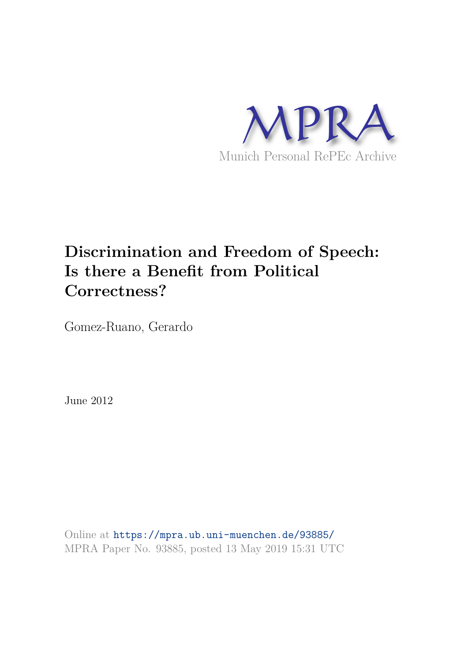

# **Discrimination and Freedom of Speech: Is there a Benefit from Political Correctness?**

Gomez-Ruano, Gerardo

June 2012

Online at https://mpra.ub.uni-muenchen.de/93885/ MPRA Paper No. 93885, posted 13 May 2019 15:31 UTC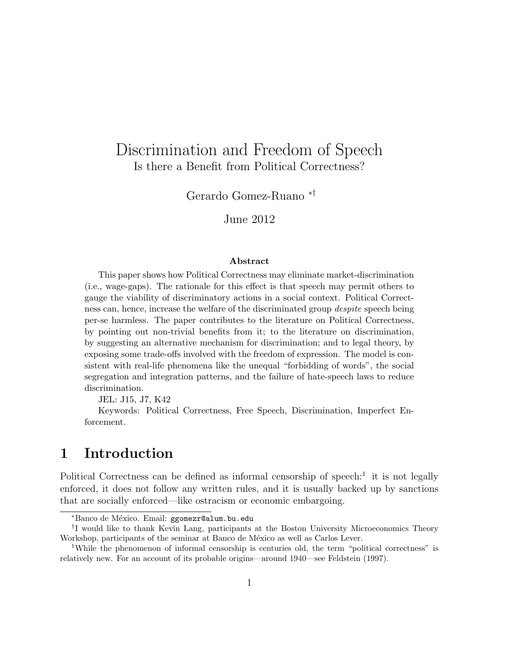# Discrimination and Freedom of Speech Is there a Benefit from Political Correctness?

Gerardo Gomez-Ruano ∗†

June 2012

#### Abstract

This paper shows how Political Correctness may eliminate market-discrimination (i.e., wage-gaps). The rationale for this effect is that speech may permit others to gauge the viability of discriminatory actions in a social context. Political Correctness can, hence, increase the welfare of the discriminated group despite speech being per-se harmless. The paper contributes to the literature on Political Correctness, by pointing out non-trivial benefits from it; to the literature on discrimination, by suggesting an alternative mechanism for discrimination; and to legal theory, by exposing some trade-offs involved with the freedom of expression. The model is consistent with real-life phenomena like the unequal "forbidding of words", the social segregation and integration patterns, and the failure of hate-speech laws to reduce discrimination.

JEL: J15, J7, K42

Keywords: Political Correctness, Free Speech, Discrimination, Imperfect Enforcement.

# 1 Introduction

Political Correctness can be defined as informal censorship of speech:<sup>1</sup> it is not legally enforced, it does not follow any written rules, and it is usually backed up by sanctions that are socially enforced—like ostracism or economic embargoing.

<sup>\*</sup>Banco de México. Email: ggomezr@alum.bu.edu

<sup>†</sup> I would like to thank Kevin Lang, participants at the Boston University Microeconomics Theory Workshop, participants of the seminar at Banco de México as well as Carlos Lever.

<sup>1</sup>While the phenomenon of informal censorship is centuries old, the term "political correctness" is relatively new. For an account of its probable origins—around 1940—see Feldstein (1997).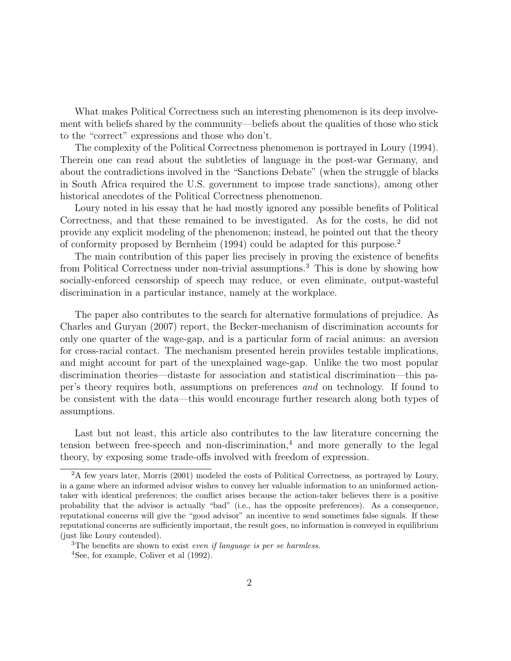What makes Political Correctness such an interesting phenomenon is its deep involvement with beliefs shared by the community—beliefs about the qualities of those who stick to the "correct" expressions and those who don't.

The complexity of the Political Correctness phenomenon is portrayed in Loury (1994). Therein one can read about the subtleties of language in the post-war Germany, and about the contradictions involved in the "Sanctions Debate" (when the struggle of blacks in South Africa required the U.S. government to impose trade sanctions), among other historical anecdotes of the Political Correctness phenomenon.

Loury noted in his essay that he had mostly ignored any possible benefits of Political Correctness, and that these remained to be investigated. As for the costs, he did not provide any explicit modeling of the phenomenon; instead, he pointed out that the theory of conformity proposed by Bernheim (1994) could be adapted for this purpose.<sup>2</sup>

The main contribution of this paper lies precisely in proving the existence of benefits from Political Correctness under non-trivial assumptions. <sup>3</sup> This is done by showing how socially-enforced censorship of speech may reduce, or even eliminate, output-wasteful discrimination in a particular instance, namely at the workplace.

The paper also contributes to the search for alternative formulations of prejudice. As Charles and Guryan (2007) report, the Becker-mechanism of discrimination accounts for only one quarter of the wage-gap, and is a particular form of racial animus: an aversion for cross-racial contact. The mechanism presented herein provides testable implications, and might account for part of the unexplained wage-gap. Unlike the two most popular discrimination theories—distaste for association and statistical discrimination—this paper's theory requires both, assumptions on preferences *and* on technology. If found to be consistent with the data—this would encourage further research along both types of assumptions.

Last but not least, this article also contributes to the law literature concerning the tension between free-speech and non-discrimination, $4$  and more generally to the legal theory, by exposing some trade-offs involved with freedom of expression.

<sup>2</sup>A few years later, Morris (2001) modeled the costs of Political Correctness, as portrayed by Loury, in a game where an informed advisor wishes to convey her valuable information to an uninformed actiontaker with identical preferences; the conflict arises because the action-taker believes there is a positive probability that the advisor is actually "bad" (i.e., has the opposite preferences). As a consequence, reputational concerns will give the "good advisor" an incentive to send sometimes false signals. If these reputational concerns are sufficiently important, the result goes, no information is conveyed in equilibrium (just like Loury contended).

 ${}^{3}$ The benefits are shown to exist *even if language is per se harmless*.

<sup>4</sup>See, for example, Coliver et al (1992).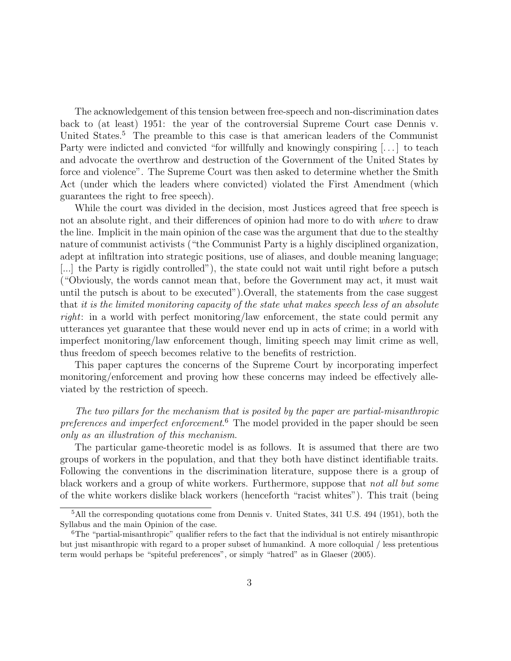The acknowledgement of this tension between free-speech and non-discrimination dates back to (at least) 1951: the year of the controversial Supreme Court case Dennis v. United States.<sup>5</sup> The preamble to this case is that american leaders of the Communist Party were indicted and convicted "for willfully and knowingly conspiring [...] to teach and advocate the overthrow and destruction of the Government of the United States by force and violence". The Supreme Court was then asked to determine whether the Smith Act (under which the leaders where convicted) violated the First Amendment (which guarantees the right to free speech).

While the court was divided in the decision, most Justices agreed that free speech is not an absolute right, and their differences of opinion had more to do with *where* to draw the line. Implicit in the main opinion of the case was the argument that due to the stealthy nature of communist activists ("the Communist Party is a highly disciplined organization, adept at infiltration into strategic positions, use of aliases, and double meaning language; [...] the Party is rigidly controlled"), the state could not wait until right before a putsch ("Obviously, the words cannot mean that, before the Government may act, it must wait until the putsch is about to be executed").Overall, the statements from the case suggest that *it is the limited monitoring capacity of the state what makes speech less of an absolute right*: in a world with perfect monitoring/law enforcement, the state could permit any utterances yet guarantee that these would never end up in acts of crime; in a world with imperfect monitoring/law enforcement though, limiting speech may limit crime as well, thus freedom of speech becomes relative to the benefits of restriction.

This paper captures the concerns of the Supreme Court by incorporating imperfect monitoring/enforcement and proving how these concerns may indeed be effectively alleviated by the restriction of speech.

*The two pillars for the mechanism that is posited by the paper are partial-misanthropic preferences and imperfect enforcement*. <sup>6</sup> The model provided in the paper should be seen *only as an illustration of this mechanism*.

The particular game-theoretic model is as follows. It is assumed that there are two groups of workers in the population, and that they both have distinct identifiable traits. Following the conventions in the discrimination literature, suppose there is a group of black workers and a group of white workers. Furthermore, suppose that *not all but some* of the white workers dislike black workers (henceforth "racist whites"). This trait (being

<sup>5</sup>All the corresponding quotations come from Dennis v. United States, 341 U.S. 494 (1951), both the Syllabus and the main Opinion of the case.

 $6$ The "partial-misanthropic" qualifier refers to the fact that the individual is not entirely misanthropic but just misanthropic with regard to a proper subset of humankind. A more colloquial / less pretentious term would perhaps be "spiteful preferences", or simply "hatred" as in Glaeser (2005).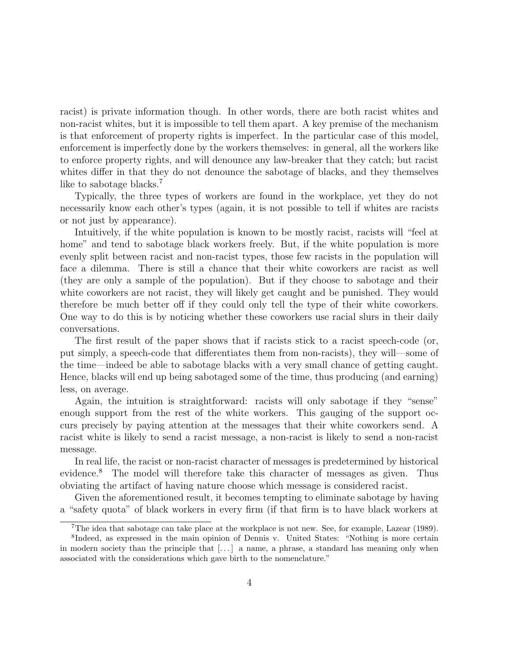racist) is private information though. In other words, there are both racist whites and non-racist whites, but it is impossible to tell them apart. A key premise of the mechanism is that enforcement of property rights is imperfect. In the particular case of this model, enforcement is imperfectly done by the workers themselves: in general, all the workers like to enforce property rights, and will denounce any law-breaker that they catch; but racist whites differ in that they do not denounce the sabotage of blacks, and they themselves like to sabotage blacks.<sup>7</sup>

Typically, the three types of workers are found in the workplace, yet they do not necessarily know each other's types (again, it is not possible to tell if whites are racists or not just by appearance).

Intuitively, if the white population is known to be mostly racist, racists will "feel at home" and tend to sabotage black workers freely. But, if the white population is more evenly split between racist and non-racist types, those few racists in the population will face a dilemma. There is still a chance that their white coworkers are racist as well (they are only a sample of the population). But if they choose to sabotage and their white coworkers are not racist, they will likely get caught and be punished. They would therefore be much better off if they could only tell the type of their white coworkers. One way to do this is by noticing whether these coworkers use racial slurs in their daily conversations.

The first result of the paper shows that if racists stick to a racist speech-code (or, put simply, a speech-code that differentiates them from non-racists), they will—some of the time—indeed be able to sabotage blacks with a very small chance of getting caught. Hence, blacks will end up being sabotaged some of the time, thus producing (and earning) less, on average.

Again, the intuition is straightforward: racists will only sabotage if they "sense" enough support from the rest of the white workers. This gauging of the support occurs precisely by paying attention at the messages that their white coworkers send. A racist white is likely to send a racist message, a non-racist is likely to send a non-racist message.

In real life, the racist or non-racist character of messages is predetermined by historical evidence.<sup>8</sup> The model will therefore take this character of messages as given. Thus obviating the artifact of having nature choose which message is considered racist.

Given the aforementioned result, it becomes tempting to eliminate sabotage by having a "safety quota" of black workers in every firm (if that firm is to have black workers at

<sup>7</sup>The idea that sabotage can take place at the workplace is not new. See, for example, Lazear (1989).

<sup>&</sup>lt;sup>8</sup>Indeed, as expressed in the main opinion of Dennis v. United States: "Nothing is more certain in modern society than the principle that  $[\ldots]$  a name, a phrase, a standard has meaning only when associated with the considerations which gave birth to the nomenclature."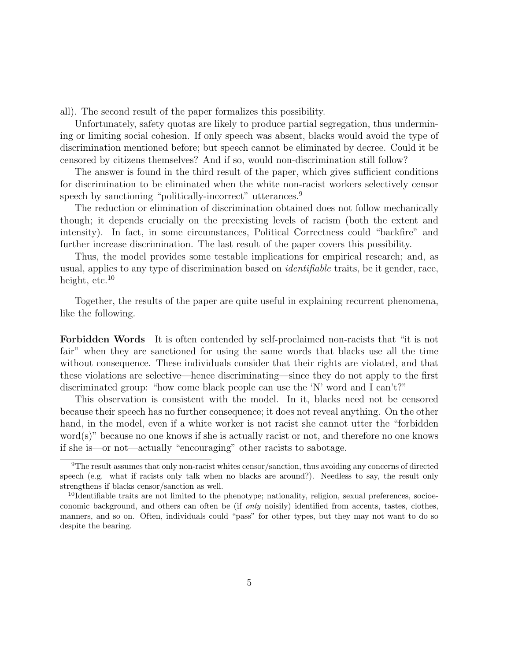all). The second result of the paper formalizes this possibility.

Unfortunately, safety quotas are likely to produce partial segregation, thus undermining or limiting social cohesion. If only speech was absent, blacks would avoid the type of discrimination mentioned before; but speech cannot be eliminated by decree. Could it be censored by citizens themselves? And if so, would non-discrimination still follow?

The answer is found in the third result of the paper, which gives sufficient conditions for discrimination to be eliminated when the white non-racist workers selectively censor speech by sanctioning "politically-incorrect" utterances.<sup>9</sup>

The reduction or elimination of discrimination obtained does not follow mechanically though; it depends crucially on the preexisting levels of racism (both the extent and intensity). In fact, in some circumstances, Political Correctness could "backfire" and further increase discrimination. The last result of the paper covers this possibility.

Thus, the model provides some testable implications for empirical research; and, as usual, applies to any type of discrimination based on *identifiable* traits, be it gender, race, height,  $etc.<sup>10</sup>$ 

Together, the results of the paper are quite useful in explaining recurrent phenomena, like the following.

Forbidden Words It is often contended by self-proclaimed non-racists that "it is not fair" when they are sanctioned for using the same words that blacks use all the time without consequence. These individuals consider that their rights are violated, and that these violations are selective—hence discriminating—since they do not apply to the first discriminated group: "how come black people can use the 'N' word and I can't?"

This observation is consistent with the model. In it, blacks need not be censored because their speech has no further consequence; it does not reveal anything. On the other hand, in the model, even if a white worker is not racist she cannot utter the "forbidden word(s)" because no one knows if she is actually racist or not, and therefore no one knows if she is—or not—actually "encouraging" other racists to sabotage.

<sup>9</sup>The result assumes that only non-racist whites censor/sanction, thus avoiding any concerns of directed speech (e.g. what if racists only talk when no blacks are around?). Needless to say, the result only strengthens if blacks censor/sanction as well.

<sup>&</sup>lt;sup>10</sup>Identifiable traits are not limited to the phenotype; nationality, religion, sexual preferences, socioeconomic background, and others can often be (if only noisily) identified from accents, tastes, clothes, manners, and so on. Often, individuals could "pass" for other types, but they may not want to do so despite the bearing.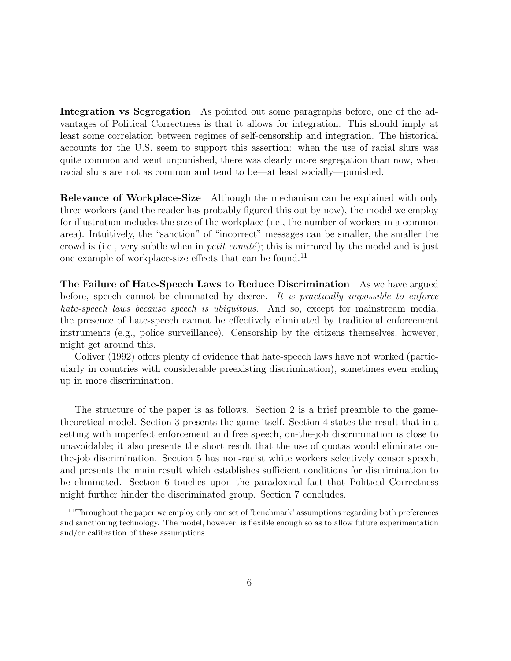Integration vs Segregation As pointed out some paragraphs before, one of the advantages of Political Correctness is that it allows for integration. This should imply at least some correlation between regimes of self-censorship and integration. The historical accounts for the U.S. seem to support this assertion: when the use of racial slurs was quite common and went unpunished, there was clearly more segregation than now, when racial slurs are not as common and tend to be—at least socially—punished.

Relevance of Workplace-Size Although the mechanism can be explained with only three workers (and the reader has probably figured this out by now), the model we employ for illustration includes the size of the workplace (i.e., the number of workers in a common area). Intuitively, the "sanction" of "incorrect" messages can be smaller, the smaller the crowd is (i.e., very subtle when in *petit comité*); this is mirrored by the model and is just one example of workplace-size effects that can be found.<sup>11</sup>

The Failure of Hate-Speech Laws to Reduce Discrimination As we have argued before, speech cannot be eliminated by decree. *It is practically impossible to enforce hate-speech laws because speech is ubiquitous*. And so, except for mainstream media, the presence of hate-speech cannot be effectively eliminated by traditional enforcement instruments (e.g., police surveillance). Censorship by the citizens themselves, however, might get around this.

Coliver (1992) offers plenty of evidence that hate-speech laws have not worked (particularly in countries with considerable preexisting discrimination), sometimes even ending up in more discrimination.

The structure of the paper is as follows. Section 2 is a brief preamble to the gametheoretical model. Section 3 presents the game itself. Section 4 states the result that in a setting with imperfect enforcement and free speech, on-the-job discrimination is close to unavoidable; it also presents the short result that the use of quotas would eliminate onthe-job discrimination. Section 5 has non-racist white workers selectively censor speech, and presents the main result which establishes sufficient conditions for discrimination to be eliminated. Section 6 touches upon the paradoxical fact that Political Correctness might further hinder the discriminated group. Section 7 concludes.

<sup>&</sup>lt;sup>11</sup>Throughout the paper we employ only one set of 'benchmark' assumptions regarding both preferences and sanctioning technology. The model, however, is flexible enough so as to allow future experimentation and/or calibration of these assumptions.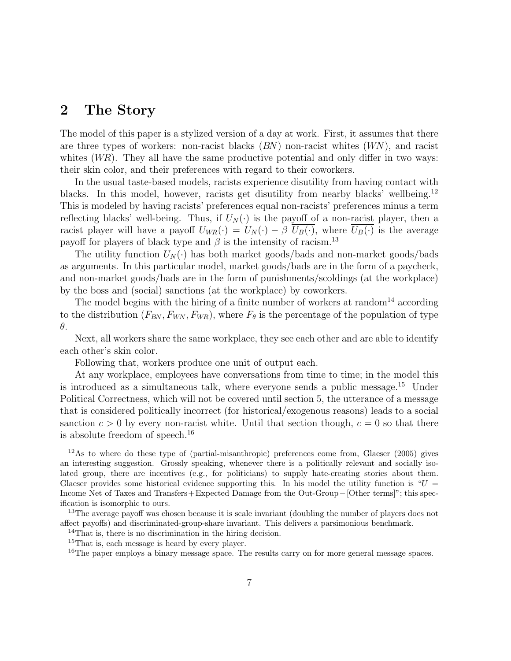### 2 The Story

The model of this paper is a stylized version of a day at work. First, it assumes that there are three types of workers: non-racist blacks  $(BN)$  non-racist whites  $(WN)$ , and racist whites  $(WR)$ . They all have the same productive potential and only differ in two ways: their skin color, and their preferences with regard to their coworkers.

In the usual taste-based models, racists experience disutility from having contact with blacks. In this model, however, racists get disutility from nearby blacks' wellbeing.<sup>12</sup> This is modeled by having racists' preferences equal non-racists' preferences minus a term reflecting blacks' well-being. Thus, if  $U_N(\cdot)$  is the payoff of a non-racist player, then a racist player will have a payoff  $U_{WR}(\cdot) = U_N(\cdot) - \beta \overline{U_B(\cdot)}$ , where  $\overline{U_B(\cdot)}$  is the average payoff for players of black type and  $\beta$  is the intensity of racism.<sup>13</sup>

The utility function  $U_N(\cdot)$  has both market goods/bads and non-market goods/bads as arguments. In this particular model, market goods/bads are in the form of a paycheck, and non-market goods/bads are in the form of punishments/scoldings (at the workplace) by the boss and (social) sanctions (at the workplace) by coworkers.

The model begins with the hiring of a finite number of workers at random<sup>14</sup> according to the distribution  $(F_{BN}, F_{WN}, F_{WR})$ , where  $F_{\theta}$  is the percentage of the population of type θ.

Next, all workers share the same workplace, they see each other and are able to identify each other's skin color.

Following that, workers produce one unit of output each.

At any workplace, employees have conversations from time to time; in the model this is introduced as a simultaneous talk, where everyone sends a public message.<sup>15</sup> Under Political Correctness, which will not be covered until section 5, the utterance of a message that is considered politically incorrect (for historical/exogenous reasons) leads to a social sanction  $c > 0$  by every non-racist white. Until that section though,  $c = 0$  so that there is absolute freedom of speech.<sup>16</sup>

 $12\text{As}$  to where do these type of (partial-misanthropic) preferences come from, Glaeser (2005) gives an interesting suggestion. Grossly speaking, whenever there is a politically relevant and socially isolated group, there are incentives (e.g., for politicians) to supply hate-creating stories about them. Glaeser provides some historical evidence supporting this. In his model the utility function is " $U =$ Income Net of Taxes and Transfers+Expected Damage from the Out-Group−[Other terms]"; this specification is isomorphic to ours.

<sup>&</sup>lt;sup>13</sup>The average payoff was chosen because it is scale invariant (doubling the number of players does not affect payoffs) and discriminated-group-share invariant. This delivers a parsimonious benchmark.

<sup>&</sup>lt;sup>14</sup>That is, there is no discrimination in the hiring decision.

<sup>&</sup>lt;sup>15</sup>That is, each message is heard by every player.

<sup>&</sup>lt;sup>16</sup>The paper employs a binary message space. The results carry on for more general message spaces.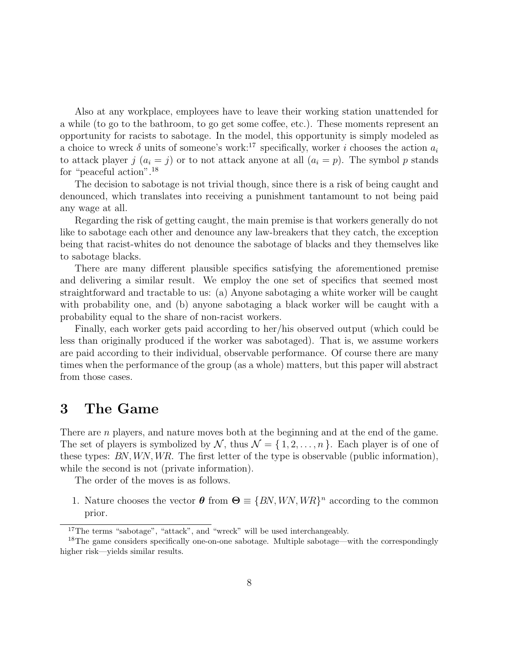Also at any workplace, employees have to leave their working station unattended for a while (to go to the bathroom, to go get some coffee, etc.). These moments represent an opportunity for racists to sabotage. In the model, this opportunity is simply modeled as a choice to wreck  $\delta$  units of someone's work:<sup>17</sup> specifically, worker i chooses the action  $a_i$ to attack player j  $(a_i = j)$  or to not attack anyone at all  $(a_i = p)$ . The symbol p stands for "peaceful action".<sup>18</sup>

The decision to sabotage is not trivial though, since there is a risk of being caught and denounced, which translates into receiving a punishment tantamount to not being paid any wage at all.

Regarding the risk of getting caught, the main premise is that workers generally do not like to sabotage each other and denounce any law-breakers that they catch, the exception being that racist-whites do not denounce the sabotage of blacks and they themselves like to sabotage blacks.

There are many different plausible specifics satisfying the aforementioned premise and delivering a similar result. We employ the one set of specifics that seemed most straightforward and tractable to us: (a) Anyone sabotaging a white worker will be caught with probability one, and (b) anyone sabotaging a black worker will be caught with a probability equal to the share of non-racist workers.

Finally, each worker gets paid according to her/his observed output (which could be less than originally produced if the worker was sabotaged). That is, we assume workers are paid according to their individual, observable performance. Of course there are many times when the performance of the group (as a whole) matters, but this paper will abstract from those cases.

### 3 The Game

There are *n* players, and nature moves both at the beginning and at the end of the game. The set of players is symbolized by N, thus  $\mathcal{N} = \{1, 2, ..., n\}$ . Each player is of one of these types: BN, WN, WR. The first letter of the type is observable (public information), while the second is not (private information).

The order of the moves is as follows.

1. Nature chooses the vector  $\boldsymbol{\theta}$  from  $\boldsymbol{\Theta} \equiv \{BN,WN, WR\}^n$  according to the common prior.

<sup>&</sup>lt;sup>17</sup>The terms "sabotage", "attack", and "wreck" will be used interchangeably.

<sup>&</sup>lt;sup>18</sup>The game considers specifically one-on-one sabotage. Multiple sabotage—with the correspondingly higher risk—yields similar results.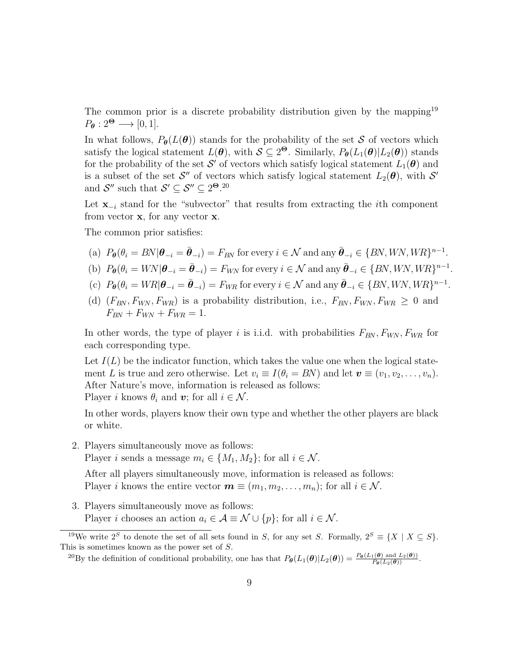The common prior is a discrete probability distribution given by the mapping<sup>19</sup>  $P_{\theta}: 2^{\Theta} \longrightarrow [0, 1].$ 

In what follows,  $P_{\theta}(L(\theta))$  stands for the probability of the set S of vectors which satisfy the logical statement  $L(\theta)$ , with  $S \subseteq 2^{\Theta}$ . Similarly,  $P_{\theta}(L_1(\theta)|L_2(\theta))$  stands for the probability of the set  $\mathcal{S}'$  of vectors which satisfy logical statement  $L_1(\boldsymbol{\theta})$  and is a subset of the set  $\mathcal{S}''$  of vectors which satisfy logical statement  $L_2(\theta)$ , with  $\mathcal{S}'$ and  $S''$  such that  $S' \subseteq S'' \subseteq 2^{\Theta}$ .<sup>20</sup>

Let  $\mathbf{x}_{-i}$  stand for the "subvector" that results from extracting the *i*th component from vector  $x$ , for any vector  $x$ .

The common prior satisfies:

- (a)  $P_{\theta}(\theta_i = BN | \theta_{-i} = \bar{\theta}_{-i}) = F_{BN}$  for every  $i \in \mathcal{N}$  and any  $\bar{\theta}_{-i} \in \{BN,WN, WR\}^{n-1}$ .
- (b)  $P_{\theta}(\theta_i = W N | \theta_{-i} = \bar{\theta}_{-i}) = F_{WN}$  for every  $i \in \mathcal{N}$  and any  $\bar{\theta}_{-i} \in \{BN, WN, WR\}^{n-1}$ .
- (c)  $P_{\theta}(\theta_i = WR | \theta_{-i} = \bar{\theta}_{-i}) = F_{WR}$  for every  $i \in \mathcal{N}$  and any  $\bar{\theta}_{-i} \in \{BN, WN, WR\}^{n-1}$ .
- (d)  $(F_{BN}, F_{WN}, F_{WR})$  is a probability distribution, i.e.,  $F_{BN}, F_{WN}, F_{WR} \geq 0$  and  $F_{BN} + F_{WN} + F_{WR} = 1.$

In other words, the type of player i is i.i.d. with probabilities  $F_{BN}$ ,  $F_{WN}$ ,  $F_{WR}$  for each corresponding type.

Let  $I(L)$  be the indicator function, which takes the value one when the logical statement L is true and zero otherwise. Let  $v_i \equiv I(\theta_i = BN)$  and let  $\mathbf{v} \equiv (v_1, v_2, \dots, v_n)$ . After Nature's move, information is released as follows: Player i knows  $\theta_i$  and v; for all  $i \in \mathcal{N}$ .

In other words, players know their own type and whether the other players are black or white.

2. Players simultaneously move as follows:

Player *i* sends a message  $m_i \in \{M_1, M_2\}$ ; for all  $i \in \mathcal{N}$ .

After all players simultaneously move, information is released as follows: Player i knows the entire vector  $\mathbf{m} \equiv (m_1, m_2, \ldots, m_n)$ ; for all  $i \in \mathcal{N}$ .

3. Players simultaneously move as follows: Player *i* chooses an action  $a_i \in \mathcal{A} \equiv \mathcal{N} \cup \{p\}$ ; for all  $i \in \mathcal{N}$ .

<sup>&</sup>lt;sup>19</sup>We write  $2^S$  to denote the set of all sets found in S, for any set S. Formally,  $2^S \equiv \{X \mid X \subseteq S\}$ . This is sometimes known as the power set of S.

<sup>&</sup>lt;sup>20</sup>By the definition of conditional probability, one has that  $P_{\theta}(L_1(\theta)|L_2(\theta)) = \frac{P_{\theta}(L_1(\theta) \text{ and } L_2(\theta))}{P_{\theta}(L_2(\theta))}$ .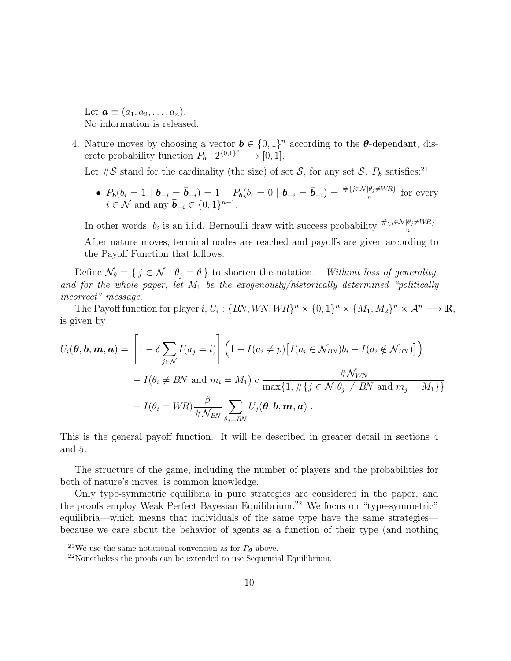Let  $\mathbf{a} \equiv (a_1, a_2, \ldots, a_n).$ No information is released.

4. Nature moves by choosing a vector  $\mathbf{b} \in \{0,1\}^n$  according to the  $\boldsymbol{\theta}$ -dependant, discrete probability function  $P_{\mathbf{b}}: 2^{\{0,1\}^n} \longrightarrow [0,1].$ 

Let  $\#\mathcal{S}$  stand for the cardinality (the size) of set  $\mathcal{S}$ , for any set  $\mathcal{S}$ .  $P_b$  satisfies:<sup>21</sup>

•  $P_b(b_i = 1 | b_{-i} = \bar{b}_{-i}) = 1 - P_b(b_i = 0 | b_{-i} = \bar{b}_{-i}) = \frac{\# \{j \in \mathcal{N} | \theta_j \neq WR\}}{n}$  for every  $i \in \mathcal{N}$  and any  $\bar{b}_{-i} \in \{0,1\}^{n-1}$ .

In other words,  $b_i$  is an i.i.d. Bernoulli draw with success probability  $\frac{\#\{j \in \mathcal{N} | \theta_j \neq WR\}}{n}$ . After nature moves, terminal nodes are reached and payoffs are given according to the Payoff Function that follows.

Define  $\mathcal{N}_{\theta} = \{ j \in \mathcal{N} \mid \theta_j = \theta \}$  to shorten the notation. *Without loss of generality, and for the whole paper, let* M<sup>1</sup> *be the exogenously/historically determined "politically incorrect" message*.

The Payoff function for player i,  $U_i$ :  $\{BN,WN, WR\}^n \times \{0, 1\}^n \times \{M_1, M_2\}^n \times \mathcal{A}^n \longrightarrow \mathbb{R}$ , is given by:

$$
U_i(\boldsymbol{\theta}, \mathbf{b}, \mathbf{m}, \mathbf{a}) = \left[1 - \delta \sum_{j \in \mathcal{N}} I(a_j = i)\right] \left(1 - I(a_i \neq p) \left[I(a_i \in \mathcal{N}_{BN})b_i + I(a_i \notin \mathcal{N}_{BN})\right]\right)
$$

$$
- I(\theta_i \neq BN \text{ and } m_i = M_1) c \frac{\#\mathcal{N}_{WN}}{\max\{1, \#\{j \in \mathcal{N} | \theta_j \neq BN \text{ and } m_j = M_1\}\}} - I(\theta_i = WR) \frac{\beta}{\#\mathcal{N}_{BN}} \sum_{\theta_j = BN} U_j(\boldsymbol{\theta}, \mathbf{b}, \mathbf{m}, \mathbf{a}).
$$

This is the general payoff function. It will be described in greater detail in sections 4 and 5.

The structure of the game, including the number of players and the probabilities for both of nature's moves, is common knowledge.

Only type-symmetric equilibria in pure strategies are considered in the paper, and the proofs employ Weak Perfect Bayesian Equilibrium.<sup>22</sup> We focus on "type-symmetric" equilibria—which means that individuals of the same type have the same strategies because we care about the behavior of agents as a function of their type (and nothing

<sup>&</sup>lt;sup>21</sup>We use the same notational convention as for  $P_{\theta}$  above.

<sup>22</sup>Nonetheless the proofs can be extended to use Sequential Equilibrium.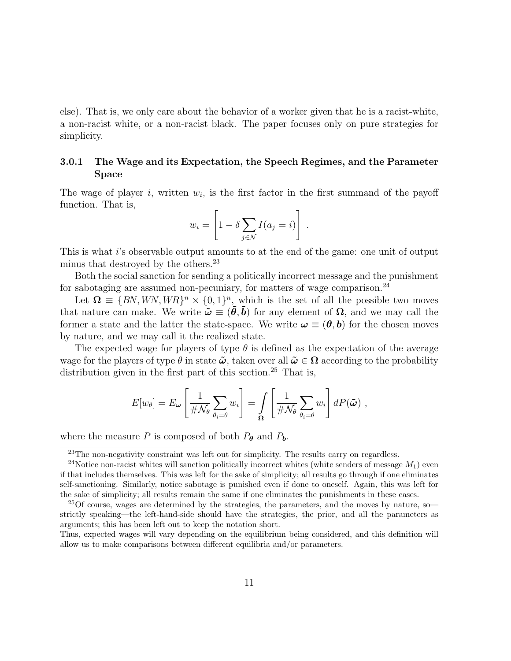else). That is, we only care about the behavior of a worker given that he is a racist-white, a non-racist white, or a non-racist black. The paper focuses only on pure strategies for simplicity.

### 3.0.1 The Wage and its Expectation, the Speech Regimes, and the Parameter Space

The wage of player  $i$ , written  $w_i$ , is the first factor in the first summand of the payoff function. That is,

$$
w_i = \left[1 - \delta \sum_{j \in \mathcal{N}} I(a_j = i)\right] \ .
$$

This is what i's observable output amounts to at the end of the game: one unit of output minus that destroyed by the others.<sup>23</sup>

Both the social sanction for sending a politically incorrect message and the punishment for sabotaging are assumed non-pecuniary, for matters of wage comparison.<sup>24</sup>

Let  $\Omega = \{BN,WN, WR\}^n \times \{0,1\}^n$ , which is the set of all the possible two moves that nature can make. We write  $\tilde{\omega} \equiv (\tilde{\theta}, \tilde{b})$  for any element of  $\Omega$ , and we may call the former a state and the latter the state-space. We write  $\omega \equiv (\theta, b)$  for the chosen moves by nature, and we may call it the realized state.

The expected wage for players of type  $\theta$  is defined as the expectation of the average wage for the players of type  $\theta$  in state  $\tilde{\omega}$ , taken over all  $\tilde{\omega} \in \Omega$  according to the probability distribution given in the first part of this section.<sup>25</sup> That is,

$$
E[w_{\theta}] = E_{\omega} \left[ \frac{1}{\# \mathcal{N}_{\theta}} \sum_{\theta_i = \theta} w_i \right] = \int_{\Omega} \left[ \frac{1}{\# \mathcal{N}_{\theta}} \sum_{\theta_i = \theta} w_i \right] dP(\tilde{\omega}),
$$

where the measure P is composed of both  $P_{\theta}$  and  $P_{b}$ .

<sup>&</sup>lt;sup>23</sup>The non-negativity constraint was left out for simplicity. The results carry on regardless.

<sup>&</sup>lt;sup>24</sup>Notice non-racist whites will sanction politically incorrect whites (white senders of message  $M_1$ ) even if that includes themselves. This was left for the sake of simplicity; all results go through if one eliminates self-sanctioning. Similarly, notice sabotage is punished even if done to oneself. Again, this was left for the sake of simplicity; all results remain the same if one eliminates the punishments in these cases.

 $^{25}$ Of course, wages are determined by the strategies, the parameters, and the moves by nature, so strictly speaking—the left-hand-side should have the strategies, the prior, and all the parameters as arguments; this has been left out to keep the notation short.

Thus, expected wages will vary depending on the equilibrium being considered, and this definition will allow us to make comparisons between different equilibria and/or parameters.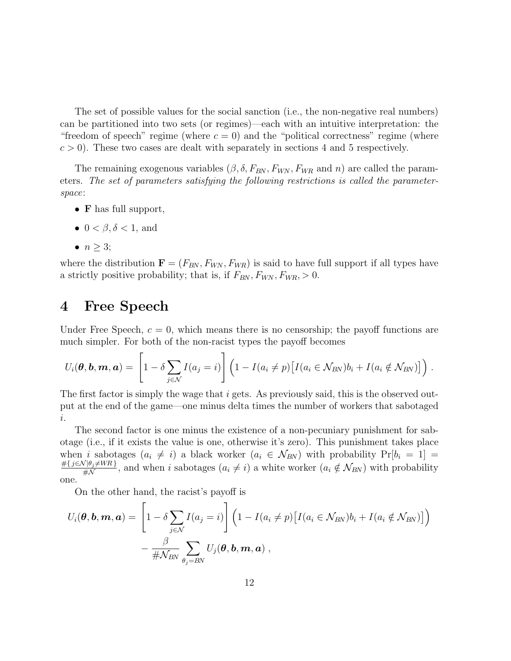The set of possible values for the social sanction (i.e., the non-negative real numbers) can be partitioned into two sets (or regimes)—each with an intuitive interpretation: the "freedom of speech" regime (where  $c = 0$ ) and the "political correctness" regime (where  $c > 0$ ). These two cases are dealt with separately in sections 4 and 5 respectively.

The remaining exogenous variables  $(\beta, \delta, F_{BN}, F_{WN}, F_{WR}$  and n) are called the parameters. *The set of parameters satisfying the following restrictions is called the parameterspace*:

- F has full support,
- $0 < \beta, \delta < 1$ , and
- $\bullet$   $n \geq 3;$

where the distribution  $\mathbf{F} = (F_{BN}, F_{WN}, F_{WR})$  is said to have full support if all types have a strictly positive probability; that is, if  $F_{BN}$ ,  $F_{WN}$ ,  $F_{WR}$ ,  $> 0$ .

# 4 Free Speech

Under Free Speech,  $c = 0$ , which means there is no censorship; the payoff functions are much simpler. For both of the non-racist types the payoff becomes

$$
U_i(\boldsymbol{\theta}, \boldsymbol{b}, \boldsymbol{m}, \boldsymbol{a}) = \left[1 - \delta \sum_{j \in \mathcal{N}} I(a_j = i)\right] \left(1 - I(a_i \neq p) \big[I(a_i \in \mathcal{N}_{BN})b_i + I(a_i \notin \mathcal{N}_{BN})\big]\right).
$$

The first factor is simply the wage that i gets. As previously said, this is the observed output at the end of the game—one minus delta times the number of workers that sabotaged i.

The second factor is one minus the existence of a non-pecuniary punishment for sabotage (i.e., if it exists the value is one, otherwise it's zero). This punishment takes place when i sabotages  $(a_i \neq i)$  a black worker  $(a_i \in \mathcal{N}_{BN})$  with probability  $Pr[b_i = 1]$  $\frac{\#{j \in \mathcal{N}}\Theta_j \neq WR}{\# \mathcal{N}}$ , and when i sabotages  $(a_i \neq i)$  a white worker  $(a_i \notin \mathcal{N}_{BN})$  with probability  $\#N$ one.

On the other hand, the racist's payoff is

$$
U_i(\boldsymbol{\theta}, \mathbf{b}, \mathbf{m}, \mathbf{a}) = \left[1 - \delta \sum_{j \in \mathcal{N}} I(a_j = i)\right] \left(1 - I(a_i \neq p) \left[I(a_i \in \mathcal{N}_{BN})b_i + I(a_i \notin \mathcal{N}_{BN})\right]\right) - \frac{\beta}{\# \mathcal{N}_{BN}} \sum_{\theta_j = BN} U_j(\boldsymbol{\theta}, \mathbf{b}, \mathbf{m}, \mathbf{a}) ,
$$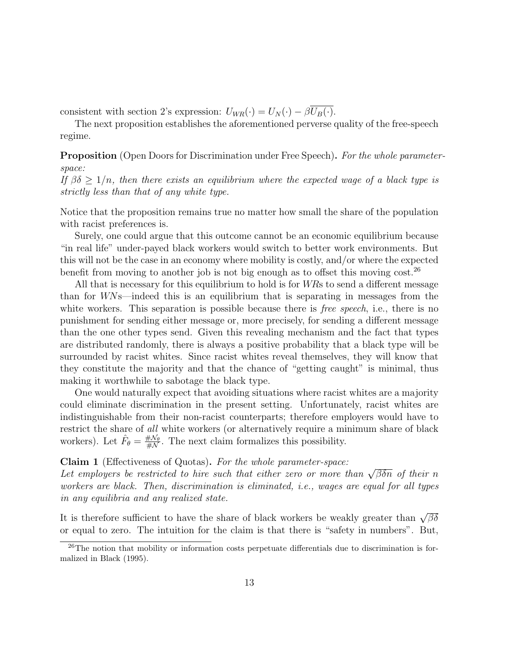consistent with section 2's expression:  $U_{WR}(\cdot) = U_N(\cdot) - \beta \overline{U_B(\cdot)}$ .

The next proposition establishes the aforementioned perverse quality of the free-speech regime.

Proposition (Open Doors for Discrimination under Free Speech). *For the whole parameterspace:*

*If*  $\beta \delta \geq 1/n$ , then there exists an equilibrium where the expected wage of a black type is *strictly less than that of any white type.*

Notice that the proposition remains true no matter how small the share of the population with racist preferences is.

Surely, one could argue that this outcome cannot be an economic equilibrium because "in real life" under-payed black workers would switch to better work environments. But this will not be the case in an economy where mobility is costly, and/or where the expected benefit from moving to another job is not big enough as to offset this moving  $\cos t$ .<sup>26</sup>

All that is necessary for this equilibrium to hold is for WRs to send a different message than for WNs—indeed this is an equilibrium that is separating in messages from the white workers. This separation is possible because there is *free speech*, i.e., there is no punishment for sending either message or, more precisely, for sending a different message than the one other types send. Given this revealing mechanism and the fact that types are distributed randomly, there is always a positive probability that a black type will be surrounded by racist whites. Since racist whites reveal themselves, they will know that they constitute the majority and that the chance of "getting caught" is minimal, thus making it worthwhile to sabotage the black type.

One would naturally expect that avoiding situations where racist whites are a majority could eliminate discrimination in the present setting. Unfortunately, racist whites are indistinguishable from their non-racist counterparts; therefore employers would have to restrict the share of *all* white workers (or alternatively require a minimum share of black workers). Let  $\hat{F}_{\theta} = \frac{\# \mathcal{N}_{\theta}}{\# \mathcal{N}}$  $\frac{\#N_{\theta}}{\#N}$ . The next claim formalizes this possibility.

#### Claim 1 (Effectiveness of Quotas). *For the whole parameter-space:*

Let employers be restricted to hire such that either zero or more than  $\sqrt{\beta \delta n}$  of their n *workers are black. Then, discrimination is eliminated, i.e., wages are equal for all types in any equilibria and any realized state.*

It is therefore sufficient to have the share of black workers be weakly greater than  $\sqrt{\beta\delta}$ or equal to zero. The intuition for the claim is that there is "safety in numbers". But,

<sup>26</sup>The notion that mobility or information costs perpetuate differentials due to discrimination is formalized in Black (1995).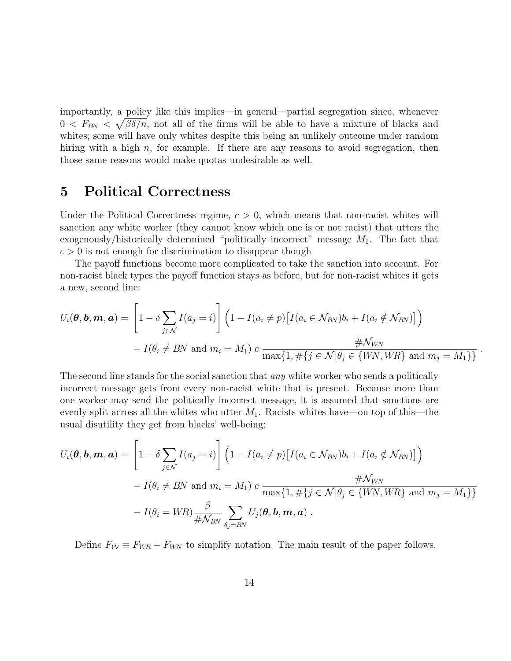importantly, a policy like this implies—in general—partial segregation since, whenever  $0 \leq F_{BN} \leq \sqrt{\beta \delta/n}$ , not all of the firms will be able to have a mixture of blacks and whites; some will have only whites despite this being an unlikely outcome under random hiring with a high  $n$ , for example. If there are any reasons to avoid segregation, then those same reasons would make quotas undesirable as well.

### 5 Political Correctness

Under the Political Correctness regime,  $c > 0$ , which means that non-racist whites will sanction any white worker (they cannot know which one is or not racist) that utters the exogenously/historically determined "politically incorrect" message  $M_1$ . The fact that  $c > 0$  is not enough for discrimination to disappear though

The payoff functions become more complicated to take the sanction into account. For non-racist black types the payoff function stays as before, but for non-racist whites it gets a new, second line:

$$
U_i(\boldsymbol{\theta}, \mathbf{b}, \mathbf{m}, \mathbf{a}) = \left[1 - \delta \sum_{j \in \mathcal{N}} I(a_j = i)\right] \left(1 - I(a_i \neq p) \left[I(a_i \in \mathcal{N}_{BN})b_i + I(a_i \notin \mathcal{N}_{BN})\right]\right)
$$

$$
- I(\theta_i \neq BN \text{ and } m_i = M_1) c \frac{\#\mathcal{N}_{WN}}{\max\{1, \#\{j \in \mathcal{N} | \theta_j \in \{WN, WR\} \text{ and } m_j = M_1\}\}}.
$$

The second line stands for the social sanction that *any* white worker who sends a politically incorrect message gets from every non-racist white that is present. Because more than one worker may send the politically incorrect message, it is assumed that sanctions are evenly split across all the whites who utter  $M_1$ . Racists whites have—on top of this—the usual disutility they get from blacks' well-being:

$$
U_i(\boldsymbol{\theta}, \mathbf{b}, \mathbf{m}, \mathbf{a}) = \left[1 - \delta \sum_{j \in \mathcal{N}} I(a_j = i)\right] \left(1 - I(a_i \neq p) \left[I(a_i \in \mathcal{N}_{BN})b_i + I(a_i \notin \mathcal{N}_{BN})\right]\right)
$$
  
-  $I(\theta_i \neq BN$  and  $m_i = M_1$ )  $c$   $\frac{\#\mathcal{N}_{WN}}{\max\{1, \#\{j \in \mathcal{N} | \theta_j \in \{WN, WR\} \text{ and } m_j = M_1\}\}} - I(\theta_i = WR) \frac{\beta}{\#\mathcal{N}_{BN}} \sum_{\theta_j = BN} U_j(\boldsymbol{\theta}, \mathbf{b}, \mathbf{m}, \mathbf{a}).$ 

Define  $F_W \equiv F_{WR} + F_{WN}$  to simplify notation. The main result of the paper follows.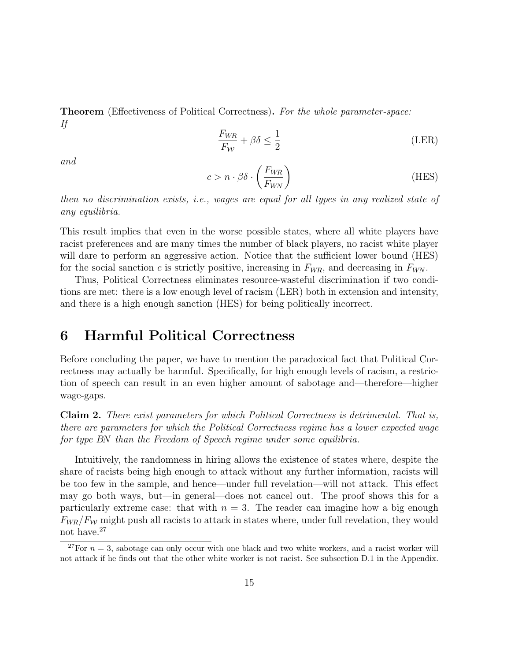Theorem (Effectiveness of Political Correctness). *For the whole parameter-space: If*

$$
\frac{F_{WR}}{F_{\mathcal{W}}} + \beta \delta \le \frac{1}{2}
$$
 (LER)

*and*

$$
c > n \cdot \beta \delta \cdot \left(\frac{F_{WR}}{F_{WN}}\right) \tag{HES}
$$

*then no discrimination exists, i.e., wages are equal for all types in any realized state of any equilibria.*

This result implies that even in the worse possible states, where all white players have racist preferences and are many times the number of black players, no racist white player will dare to perform an aggressive action. Notice that the sufficient lower bound (HES) for the social sanction c is strictly positive, increasing in  $F_{WR}$ , and decreasing in  $F_{WN}$ .

Thus, Political Correctness eliminates resource-wasteful discrimination if two conditions are met: there is a low enough level of racism (LER) both in extension and intensity, and there is a high enough sanction (HES) for being politically incorrect.

### 6 Harmful Political Correctness

Before concluding the paper, we have to mention the paradoxical fact that Political Correctness may actually be harmful. Specifically, for high enough levels of racism, a restriction of speech can result in an even higher amount of sabotage and—therefore—higher wage-gaps.

Claim 2. *There exist parameters for which Political Correctness is detrimental. That is, there are parameters for which the Political Correctness regime has a lower expected wage for type* BN *than the Freedom of Speech regime under some equilibria.*

Intuitively, the randomness in hiring allows the existence of states where, despite the share of racists being high enough to attack without any further information, racists will be too few in the sample, and hence—under full revelation—will not attack. This effect may go both ways, but—in general—does not cancel out. The proof shows this for a particularly extreme case: that with  $n = 3$ . The reader can imagine how a big enough  $F_{WR}/F_{W}$  might push all racists to attack in states where, under full revelation, they would not have.<sup>27</sup>

<sup>&</sup>lt;sup>27</sup>For  $n = 3$ , sabotage can only occur with one black and two white workers, and a racist worker will not attack if he finds out that the other white worker is not racist. See subsection D.1 in the Appendix.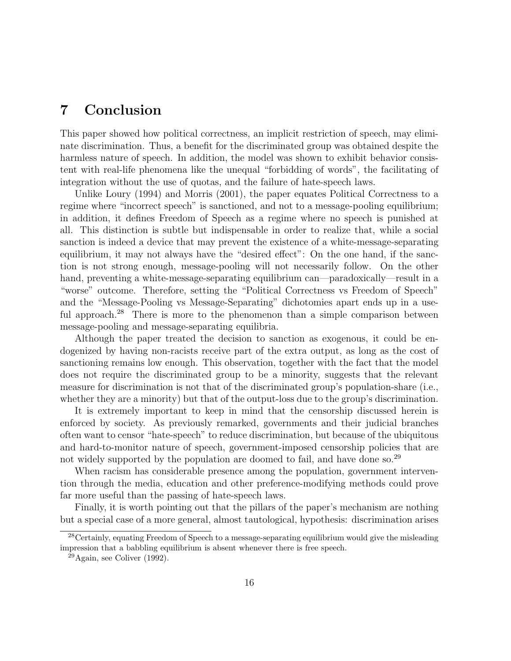# 7 Conclusion

This paper showed how political correctness, an implicit restriction of speech, may eliminate discrimination. Thus, a benefit for the discriminated group was obtained despite the harmless nature of speech. In addition, the model was shown to exhibit behavior consistent with real-life phenomena like the unequal "forbidding of words", the facilitating of integration without the use of quotas, and the failure of hate-speech laws.

Unlike Loury (1994) and Morris (2001), the paper equates Political Correctness to a regime where "incorrect speech" is sanctioned, and not to a message-pooling equilibrium; in addition, it defines Freedom of Speech as a regime where no speech is punished at all. This distinction is subtle but indispensable in order to realize that, while a social sanction is indeed a device that may prevent the existence of a white-message-separating equilibrium, it may not always have the "desired effect": On the one hand, if the sanction is not strong enough, message-pooling will not necessarily follow. On the other hand, preventing a white-message-separating equilibrium can—paradoxically—result in a "worse" outcome. Therefore, setting the "Political Correctness vs Freedom of Speech" and the "Message-Pooling vs Message-Separating" dichotomies apart ends up in a useful approach.<sup>28</sup> There is more to the phenomenon than a simple comparison between message-pooling and message-separating equilibria.

Although the paper treated the decision to sanction as exogenous, it could be endogenized by having non-racists receive part of the extra output, as long as the cost of sanctioning remains low enough. This observation, together with the fact that the model does not require the discriminated group to be a minority, suggests that the relevant measure for discrimination is not that of the discriminated group's population-share (i.e., whether they are a minority) but that of the output-loss due to the group's discrimination.

It is extremely important to keep in mind that the censorship discussed herein is enforced by society. As previously remarked, governments and their judicial branches often want to censor "hate-speech" to reduce discrimination, but because of the ubiquitous and hard-to-monitor nature of speech, government-imposed censorship policies that are not widely supported by the population are doomed to fail, and have done so.<sup>29</sup>

When racism has considerable presence among the population, government intervention through the media, education and other preference-modifying methods could prove far more useful than the passing of hate-speech laws.

Finally, it is worth pointing out that the pillars of the paper's mechanism are nothing but a special case of a more general, almost tautological, hypothesis: discrimination arises

 $28$ Certainly, equating Freedom of Speech to a message-separating equilibrium would give the misleading impression that a babbling equilibrium is absent whenever there is free speech.

 $^{29}$ Again, see Coliver (1992).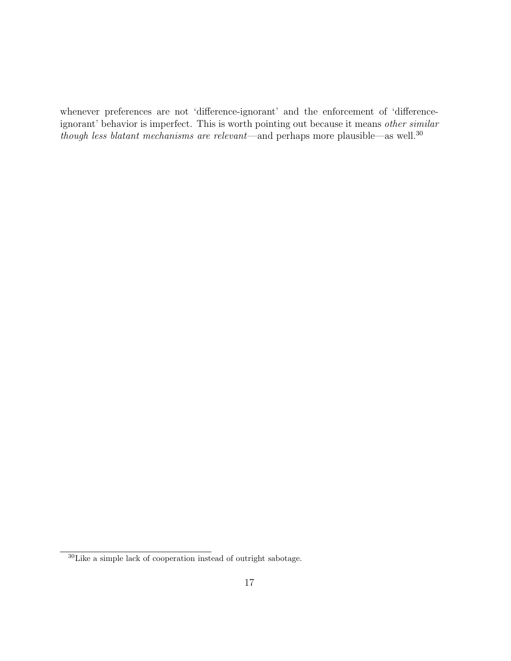whenever preferences are not 'difference-ignorant' and the enforcement of 'differenceignorant' behavior is imperfect. This is worth pointing out because it means *other similar though less blatant mechanisms are relevant*—and perhaps more plausible—as well.<sup>30</sup>

 $30$  Like a simple lack of cooperation instead of outright sabotage.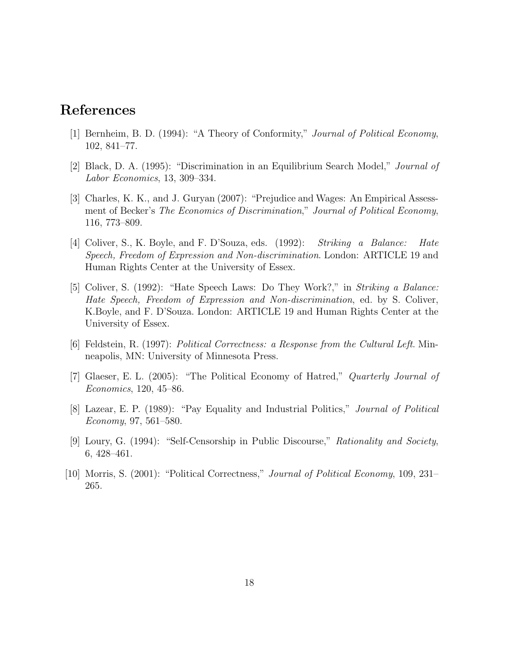# References

- [1] Bernheim, B. D. (1994): "A Theory of Conformity," *Journal of Political Economy*, 102, 841–77.
- [2] Black, D. A. (1995): "Discrimination in an Equilibrium Search Model," *Journal of Labor Economics*, 13, 309–334.
- [3] Charles, K. K., and J. Guryan (2007): "Prejudice and Wages: An Empirical Assessment of Becker's *The Economics of Discrimination*," *Journal of Political Economy*, 116, 773–809.
- [4] Coliver, S., K. Boyle, and F. D'Souza, eds. (1992): *Striking a Balance: Hate Speech, Freedom of Expression and Non-discrimination*. London: ARTICLE 19 and Human Rights Center at the University of Essex.
- [5] Coliver, S. (1992): "Hate Speech Laws: Do They Work?," in *Striking a Balance: Hate Speech, Freedom of Expression and Non-discrimination*, ed. by S. Coliver, K.Boyle, and F. D'Souza. London: ARTICLE 19 and Human Rights Center at the University of Essex.
- [6] Feldstein, R. (1997): *Political Correctness: a Response from the Cultural Left*. Minneapolis, MN: University of Minnesota Press.
- [7] Glaeser, E. L. (2005): "The Political Economy of Hatred," *Quarterly Journal of Economics*, 120, 45–86.
- [8] Lazear, E. P. (1989): "Pay Equality and Industrial Politics," *Journal of Political Economy*, 97, 561–580.
- [9] Loury, G. (1994): "Self-Censorship in Public Discourse," *Rationality and Society*, 6, 428–461.
- [10] Morris, S. (2001): "Political Correctness," *Journal of Political Economy*, 109, 231– 265.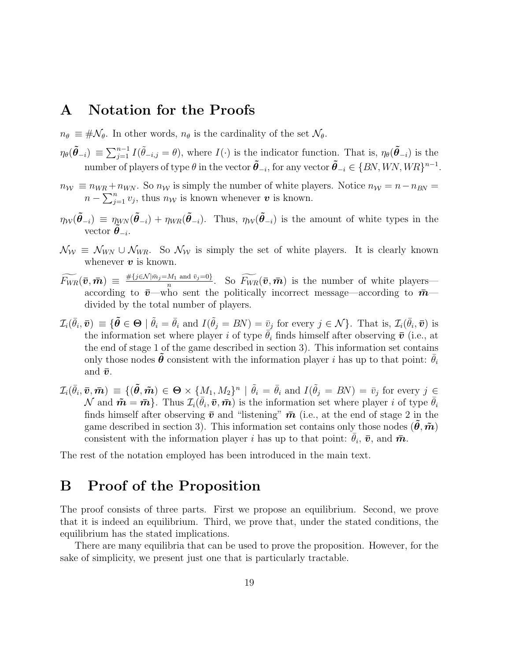### A Notation for the Proofs

- $n_{\theta} \equiv \#\mathcal{N}_{\theta}$ . In other words,  $n_{\theta}$  is the cardinality of the set  $\mathcal{N}_{\theta}$ .
- $\eta_{\theta}(\tilde{\theta}_{-i}) \equiv \sum_{j=1}^{n-1} I(\tilde{\theta}_{-i,j} = \theta)$ , where  $I(\cdot)$  is the indicator function. That is,  $\eta_{\theta}(\tilde{\theta}_{-i})$  is the number of players of type  $\theta$  in the vector  $\tilde{\theta}_{-i}$ , for any vector  $\tilde{\theta}_{-i} \in \{BN,WN, WR\}^{n-1}$ .
- $n_W \equiv n_{WR} + n_{WN}$ . So  $n_W$  is simply the number of white players. Notice  $n_W = n n_{BN} =$  $n - \sum_{j=1}^{n} v_j$ , thus  $n_{\mathcal{W}}$  is known whenever  $\boldsymbol{v}$  is known.
- $\eta_{\mathcal{W}}(\tilde{\theta}_{-i}) = \eta_{\mathcal{W}^{\mathcal{N}}}(\tilde{\theta}_{-i}) + \eta_{\mathcal{W}^{\mathcal{R}}}(\tilde{\theta}_{-i})$ . Thus,  $\eta_{\mathcal{W}}(\tilde{\theta}_{-i})$  is the amount of white types in the vector  $\tilde{\boldsymbol{\theta}}_{-i}$ .
- $\mathcal{N}_{W} \equiv \mathcal{N}_{W\!N} \cup \mathcal{N}_{W\!R}$ . So  $\mathcal{N}_{W}$  is simply the set of white players. It is clearly known whenever  $v$  is known.
- $\widetilde{F_{WR}}(\bm{\bar{v}},\bm{\bar{m}}) \ \equiv \ \frac{\#\{j \in \mathcal{N} \mid \bar{m}_{j}=M_{1} \ \mathrm{and} \ \bar{v}_{j}=0\}}{n}$  $\frac{M_1 \text{ and } \bar{v}_j=0}{n}$ . So  $\widetilde{F_{WR}}(\bar{v}, \bar{m})$  is the number of white players according to  $\bar{v}$ —who sent the politically incorrect message—according to  $\bar{m}$  divided by the total number of players.
- $\mathcal{I}_i(\bar{\theta}_i, \bar{\boldsymbol{v}}) \equiv \{ \tilde{\boldsymbol{\theta}} \in \boldsymbol{\Theta} \mid \tilde{\theta}_i = \bar{\theta}_i \text{ and } I(\tilde{\theta}_j = BN) = \bar{v}_j \text{ for every } j \in \mathcal{N} \}$ . That is,  $\mathcal{I}_i(\bar{\theta}_i, \bar{\boldsymbol{v}})$  is the information set where player i of type  $\bar{\theta}_i$  finds himself after observing  $\bar{\boldsymbol{v}}$  (i.e., at the end of stage 1 of the game described in section 3). This information set contains only those nodes  $\hat{\theta}$  consistent with the information player i has up to that point:  $\bar{\theta}_i$ and  $\bar{v}$ .
- $\mathcal{I}_i(\bar{\theta}_i, \bar{\boldsymbol{v}}, \bar{\boldsymbol{m}}) \equiv \{(\tilde{\boldsymbol{\theta}}, \tilde{\boldsymbol{m}}) \in \Theta \times \{M_1, M_2\}^n \mid \tilde{\theta}_i = \bar{\theta}_i \text{ and } I(\tilde{\theta}_j = BN) = \bar{v}_j \text{ for every } j \in \mathbb{N}\}$  $\mathcal{N}$  and  $\tilde{\boldsymbol{m}} = \bar{\boldsymbol{m}}\}$ . Thus  $\mathcal{I}_i(\bar{\theta}_i, \bar{\boldsymbol{v}}, \bar{\boldsymbol{m}})$  is the information set where player i of type  $\bar{\theta}_i$ finds himself after observing  $\bar{v}$  and "listening"  $\bar{m}$  (i.e., at the end of stage 2 in the game described in section 3). This information set contains only those nodes  $(\theta, \tilde{m})$ consistent with the information player i has up to that point:  $\bar{\theta}_i$ ,  $\bar{\boldsymbol{v}}$ , and  $\bar{\boldsymbol{m}}$ .

The rest of the notation employed has been introduced in the main text.

### B Proof of the Proposition

The proof consists of three parts. First we propose an equilibrium. Second, we prove that it is indeed an equilibrium. Third, we prove that, under the stated conditions, the equilibrium has the stated implications.

There are many equilibria that can be used to prove the proposition. However, for the sake of simplicity, we present just one that is particularly tractable.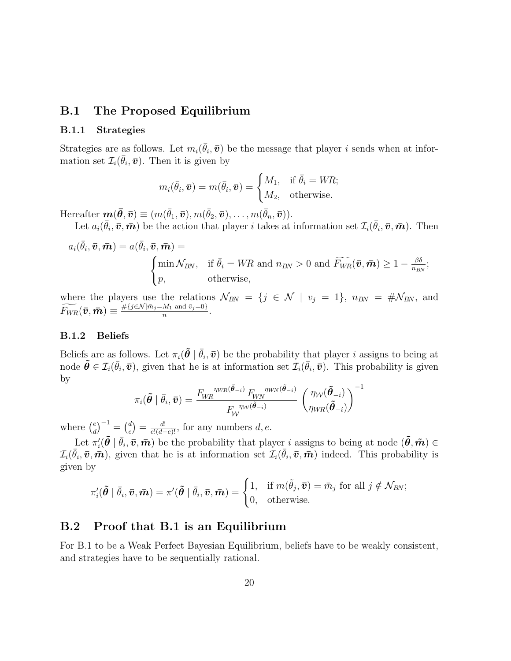### B.1 The Proposed Equilibrium

### B.1.1 Strategies

Strategies are as follows. Let  $m_i(\bar{\theta}_i, \bar{\boldsymbol{v}})$  be the message that player i sends when at information set  $\mathcal{I}_i(\bar{\theta}_i, \bar{\boldsymbol{v}})$ . Then it is given by

$$
m_i(\bar{\theta}_i, \bar{\boldsymbol{v}}) = m(\bar{\theta}_i, \bar{\boldsymbol{v}}) = \begin{cases} M_1, & \text{if } \bar{\theta}_i = WR; \\ M_2, & \text{otherwise.} \end{cases}
$$

Hereafter  $\boldsymbol{m}(\boldsymbol{\bar{\theta}},\boldsymbol{\bar{v}}) \equiv (m(\bar{\theta}_1,\boldsymbol{\bar{v}}), m(\bar{\theta}_2,\boldsymbol{\bar{v}}), \dots, m(\bar{\theta}_n,\boldsymbol{\bar{v}})).$ 

Let  $a_i(\bar{\theta}_i, \bar{\boldsymbol{v}}, \bar{\boldsymbol{m}})$  be the action that player i takes at information set  $\mathcal{I}_i(\bar{\theta}_i, \bar{\boldsymbol{v}}, \bar{\boldsymbol{m}})$ . Then

$$
a_i(\bar{\theta}_i, \bar{\boldsymbol{v}}, \bar{\boldsymbol{m}}) = a(\bar{\theta}_i, \bar{\boldsymbol{v}}, \bar{\boldsymbol{m}}) =
$$
\n
$$
\begin{cases}\n\min \mathcal{N}_{BN}, & \text{if } \bar{\theta}_i = WR \text{ and } n_{BN} > 0 \text{ and } \widetilde{F_{WR}}(\bar{\boldsymbol{v}}, \bar{\boldsymbol{m}}) \ge 1 - \frac{\beta \delta}{n_{BN}}; \\
p, & \text{otherwise,} \n\end{cases}
$$

where the players use the relations  $\mathcal{N}_{BN} = \{j \in \mathcal{N} \mid v_j = 1\}$ ,  $n_{BN} = \#\mathcal{N}_{BN}$ , and  $\widetilde{F_{WR}}(\boldsymbol{\bar{v}},\boldsymbol{\bar{m}})\equiv\frac{\#\{j\in\mathcal{N}|\bar{m}_{j}=M_{1}\text{ and }\bar{v}_{j}=0\}}{n}$  $\frac{m_1 \text{ and } v_j = 0}{n}$ .

#### B.1.2 Beliefs

Beliefs are as follows. Let  $\pi_i(\tilde{\theta} | \bar{\theta}_i, \bar{\boldsymbol{v}})$  be the probability that player i assigns to being at node  $\tilde{\boldsymbol{\theta}} \in \mathcal{I}_i(\bar{\theta}_i, \bar{\boldsymbol{v}})$ , given that he is at information set  $\mathcal{I}_i(\bar{\theta}_i, \bar{\boldsymbol{v}})$ . This probability is given by <sup>−</sup><sup>1</sup>

$$
\pi_i(\tilde{\boldsymbol{\theta}} \mid \bar{\theta}_i, \bar{\boldsymbol{v}}) = \frac{F_{\!W\!R}^{\ \eta_{\!W\!R}(\tilde{\boldsymbol{\theta}}_{-i})}\,F_{\!W\!N}^{\ \ \eta_{\!W\!N}(\tilde{\boldsymbol{\theta}}_{-i})}}{F_{\!W}^{\ \ \eta_{\!W\!R}(\tilde{\boldsymbol{\theta}}_{-i})}}\,\left(\frac{\eta_{\!W}(\tilde{\boldsymbol{\theta}}_{-i})}{\eta_{\!W\!R}(\tilde{\boldsymbol{\theta}}_{-i})}\right)^{-1}
$$

where  $\binom{e}{d}$  $\binom{e}{d}^{-1} = \binom{d}{e}$  $e^{d}$ <sub>e</sub> $e^{d!}$  =  $\frac{d!}{e!(d-e)!}$ , for any numbers *d*, *e*.

Let  $\pi'_i(\tilde{\theta} \mid \bar{\theta}_i, \bar{\boldsymbol{v}}, \bar{\boldsymbol{m}})$  be the probability that player i assigns to being at node  $(\tilde{\theta}, \tilde{\boldsymbol{m}}) \in$  $\mathcal{I}_i(\bar{\theta}_i, \bar{\boldsymbol{v}}, \bar{\boldsymbol{m}})$ , given that he is at information set  $\mathcal{I}_i(\bar{\theta}_i, \bar{\boldsymbol{v}}, \bar{\boldsymbol{m}})$  indeed. This probability is given by

$$
\pi'_i(\tilde{\boldsymbol{\theta}} \mid \bar{\theta}_i, \bar{\boldsymbol{v}}, \bar{\boldsymbol{m}}) = \pi'(\tilde{\boldsymbol{\theta}} \mid \bar{\theta}_i, \bar{\boldsymbol{v}}, \bar{\boldsymbol{m}}) = \begin{cases} 1, & \text{if } m(\tilde{\theta}_j, \bar{\boldsymbol{v}}) = \bar{m}_j \text{ for all } j \notin \mathcal{N}_{BN}; \\ 0, & \text{otherwise.} \end{cases}
$$

### B.2 Proof that B.1 is an Equilibrium

For B.1 to be a Weak Perfect Bayesian Equilibrium, beliefs have to be weakly consistent, and strategies have to be sequentially rational.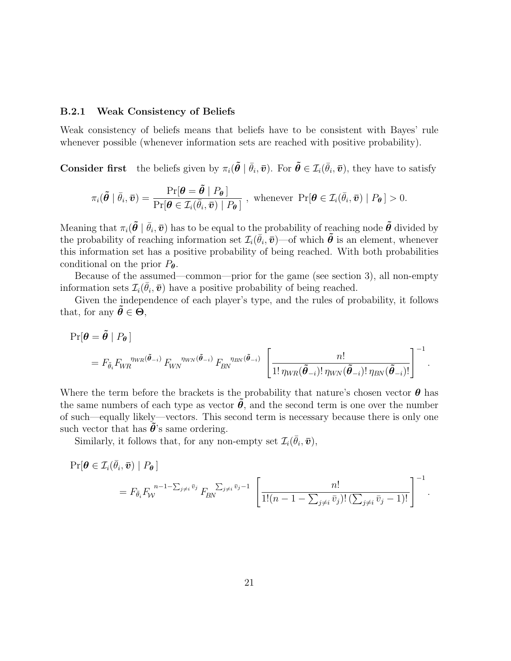#### B.2.1 Weak Consistency of Beliefs

Weak consistency of beliefs means that beliefs have to be consistent with Bayes' rule whenever possible (whenever information sets are reached with positive probability).

**Consider first** the beliefs given by  $\pi_i(\tilde{\theta} \mid \bar{\theta}_i, \bar{\mathbf{v}})$ . For  $\tilde{\theta} \in \mathcal{I}_i(\bar{\theta}_i, \bar{\mathbf{v}})$ , they have to satisfy

$$
\pi_i(\tilde{\boldsymbol{\theta}} \mid \bar{\theta}_i, \bar{\boldsymbol{v}}) = \frac{\Pr[\boldsymbol{\theta} = \tilde{\boldsymbol{\theta}} \mid P_{\boldsymbol{\theta}}]}{\Pr[\boldsymbol{\theta} \in \mathcal{I}_i(\bar{\theta}_i, \bar{\boldsymbol{v}}) \mid P_{\boldsymbol{\theta}}]}, \text{ whenever } \Pr[\boldsymbol{\theta} \in \mathcal{I}_i(\bar{\theta}_i, \bar{\boldsymbol{v}}) \mid P_{\boldsymbol{\theta}}] > 0.
$$

Meaning that  $\pi_i(\tilde{\theta} | \bar{\theta}_i, \bar{v})$  has to be equal to the probability of reaching node  $\tilde{\theta}$  divided by the probability of reaching information set  $\mathcal{I}_i(\bar{\theta}_i, \bar{\boldsymbol{v}})$ —of which  $\tilde{\boldsymbol{\theta}}$  is an element, whenever this information set has a positive probability of being reached. With both probabilities conditional on the prior  $P_{\theta}$ .

Because of the assumed—common—prior for the game (see section 3), all non-empty information sets  $\mathcal{I}_i(\bar{\theta}_i, \bar{\boldsymbol{v}})$  have a positive probability of being reached.

Given the independence of each player's type, and the rules of probability, it follows that, for any  $\tilde{\boldsymbol{\theta}} \in \boldsymbol{\Theta}$ ,

$$
\Pr[\boldsymbol{\theta} = \tilde{\boldsymbol{\theta}} \mid P_{\boldsymbol{\theta}}] \n= F_{\tilde{\theta}_i} F_{WR}^{\ \eta_{WR}(\tilde{\boldsymbol{\theta}}_{-i})} F_{WN}^{\ \eta_{WN}(\tilde{\boldsymbol{\theta}}_{-i})} F_{BN}^{\ \eta_{BN}(\tilde{\boldsymbol{\theta}}_{-i})} \left[ \frac{n!}{1! \eta_{WR}(\tilde{\boldsymbol{\theta}}_{-i})! \eta_{WN}(\tilde{\boldsymbol{\theta}}_{-i})! \eta_{BN}(\tilde{\boldsymbol{\theta}}_{-i})!} \right]^{-1}.
$$

Where the term before the brackets is the probability that nature's chosen vector  $\theta$  has the same numbers of each type as vector  $\theta$ , and the second term is one over the number of such—equally likely—vectors. This second term is necessary because there is only one such vector that has  $\hat{\theta}$ 's same ordering.

Similarly, it follows that, for any non-empty set  $\mathcal{I}_i(\bar{\theta}_i, \bar{\boldsymbol{v}})$ ,

$$
\Pr[\boldsymbol{\theta} \in \mathcal{I}_i(\bar{\theta}_i, \bar{\boldsymbol{v}}) \mid P_{\boldsymbol{\theta}}]
$$
\n
$$
= F_{\bar{\theta}_i} F_{\mathcal{W}}^{n-1-\sum_{j \neq i} \bar{v}_j} F_{\mathcal{B}\mathcal{W}}^{\sum_{j \neq i} \bar{v}_j - 1} \left[ \frac{n!}{1!(n-1-\sum_{j \neq i} \bar{v}_j)!(\sum_{j \neq i} \bar{v}_j - 1)!} \right]^{-1}.
$$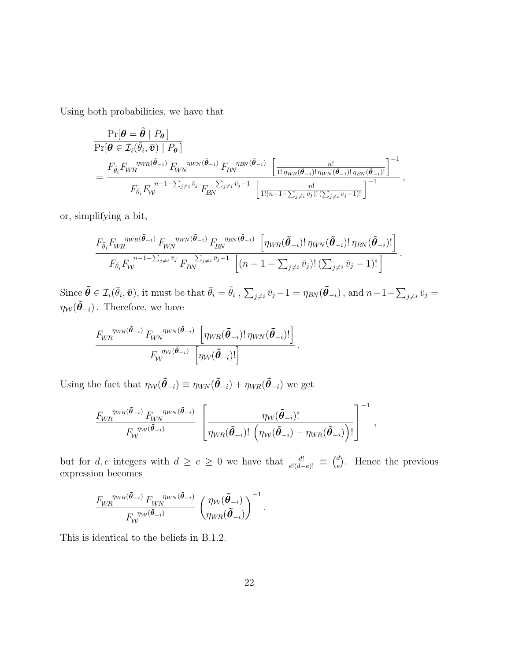Using both probabilities, we have that

$$
\frac{\Pr[\boldsymbol{\theta} = \tilde{\boldsymbol{\theta}} \mid P_{\boldsymbol{\theta}}]}{\Pr[\boldsymbol{\theta} \in \mathcal{I}_i(\bar{\theta}_i, \bar{\boldsymbol{v}}) \mid P_{\boldsymbol{\theta}}]} \\
= \frac{F_{\tilde{\theta}_i} F_{WR}^{\ \eta_{WR}(\tilde{\boldsymbol{\theta}}_{-i})} F_{WN}^{\ \eta_{WN}(\tilde{\boldsymbol{\theta}}_{-i})} F_{BN}^{\ \eta_{BN}(\tilde{\boldsymbol{\theta}}_{-i})} \left[ \frac{n!}{1! \eta_{WR}(\tilde{\boldsymbol{\theta}}_{-i})! \eta_{WN}(\tilde{\boldsymbol{\theta}}_{-i})!} \frac{n!}{n! \eta_{BN}(\tilde{\boldsymbol{\theta}}_{-i})! \eta_{BN}(\tilde{\boldsymbol{\theta}}_{-i})!}} \right]^{-1}} \\
= \frac{F_{\tilde{\theta}_i} F_{WR}^{\ \eta_{WR}(\tilde{\boldsymbol{\theta}}_{-i})} F_{RN}^{\ \eta_{WR}(\tilde{\boldsymbol{\theta}}_{-i})} F_{BN}^{\ \eta_{BN}(\tilde{\boldsymbol{\theta}}_{-i})} \left[ \frac{n!}{1! (n-1 - \sum_{j \neq i} \bar{v}_j)! (\sum_{j \neq i} \bar{v}_j - 1)!} \right]^{-1}}}{\frac{n!}{1! (n-1 - \sum_{j \neq i} \bar{v}_j)! (\sum_{j \neq i} \bar{v}_j - 1)!}} ,
$$

or, simplifying a bit,

$$
\frac{F_{\tilde{\theta}_i}F_{WR}^{n_{WR}(\tilde{\theta}_{-i})}F_{WN}^{n_{WN}(\tilde{\theta}_{-i})}F_{BN}^{n_{BN}(\tilde{\theta}_{-i})}\left[\eta_{WR}(\tilde{\theta}_{-i})! \eta_{WN}(\tilde{\theta}_{-i})! \eta_{BN}(\tilde{\theta}_{-i})! \right]}{F_{\tilde{\theta}_i}F_{\mathcal{W}}} \cdot F_{BN}^{n-1-\sum_{j\neq i} \bar{v}_j}F_{BN}^{\sum_{j\neq i} \bar{v}_j-1}\left[(n-1-\sum_{j\neq i} \bar{v}_j)!\left(\sum_{j\neq i} \bar{v}_j-1\right)!\right].
$$

Since  $\tilde{\boldsymbol{\theta}} \in \mathcal{I}_i(\bar{\theta}_i, \bar{\boldsymbol{v}})$ , it must be that  $\bar{\theta}_i = \tilde{\theta}_i$  ,  $\sum_{j \neq i} \bar{v}_j - 1 = \eta_{BN}(\tilde{\boldsymbol{\theta}}_{-i})$ , and  $n - 1 - \sum_{j \neq i} \bar{v}_j =$  $\eta_{\mathcal{W}}(\tilde{\pmb{\theta}}_{-i})$  . Therefore, we have

$$
\frac{F_{\!W\!R}}^{\eta_{\!W\!R}(\tilde{\boldsymbol{\theta}}_{-i})} F_{\!W\!N}^{\eta_{\!W\!N}(\tilde{\boldsymbol{\theta}}_{-i})} \left[\eta_{\!W\!R}(\tilde{\boldsymbol{\theta}}_{-i})! \eta_{\!W\!N}(\tilde{\boldsymbol{\theta}}_{-i})! \right]}{F_{\!W}^{\eta_{\!W}(\tilde{\boldsymbol{\theta}}_{-i})} \left[\eta_{\!W}(\tilde{\boldsymbol{\theta}}_{-i})! \right]}.
$$

Using the fact that  $\eta_{\mathcal{W}}(\tilde{\theta}_{-i}) \equiv \eta_{W\mathcal{N}}(\tilde{\theta}_{-i}) + \eta_{\mathcal{W}\mathcal{R}}(\tilde{\theta}_{-i})$  we get

$$
\frac{F_{\!W\!R}}^{m_{\!W\!R}(\tilde{\boldsymbol{\theta}}_{-i})} F_{\!W\!W}^{m_{\!W\!N}(\tilde{\boldsymbol{\theta}}_{-i})}}{F_{\!W}^{m_{\!W}(\tilde{\boldsymbol{\theta}}_{-i})}} \left[\frac{\eta_{\mathcal{W}}(\tilde{\boldsymbol{\theta}}_{-i})!}{\eta_{\!W\!R}(\tilde{\boldsymbol{\theta}}_{-i})! \left(\eta_{\mathcal{W}}(\tilde{\boldsymbol{\theta}}_{-i}) - \eta_{\!W\!R}(\tilde{\boldsymbol{\theta}}_{-i})\right)!}\right]^{-1},
$$

but for  $d, e$  integers with  $d \ge e \ge 0$  we have that  $\frac{d!}{e!(d-e)!} \equiv {d \choose e}$  $e^d$ . Hence the previous expression becomes

$$
\frac{F_{\text{WR}}^{\eta_{\text{WR}}(\tilde{\boldsymbol{\theta}}_{-i})} F_{\text{WN}}^{\eta_{\text{WN}}(\tilde{\boldsymbol{\theta}}_{-i})}}{F_{\text{W}}^{\eta_{\text{WN}}(\tilde{\boldsymbol{\theta}}_{-i})}} \left(\frac{\eta_{\text{W}}(\tilde{\boldsymbol{\theta}}_{-i})}{\eta_{\text{WR}}(\tilde{\boldsymbol{\theta}}_{-i})}\right)^{-1}.
$$

This is identical to the beliefs in B.1.2.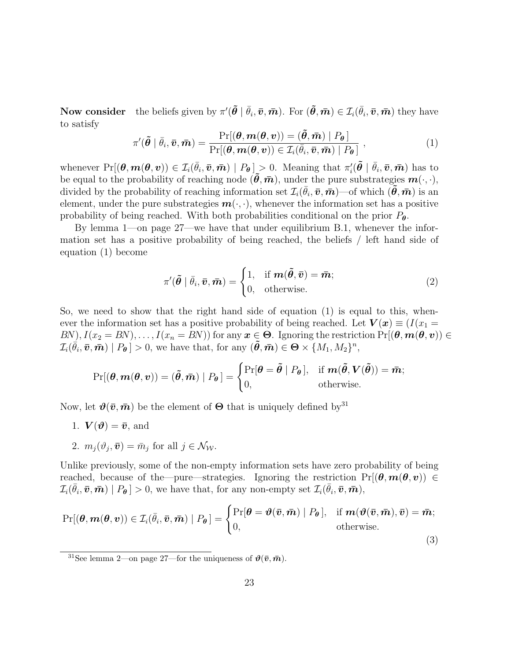Now consider the beliefs given by  $\pi'(\tilde{\theta} \mid \bar{\theta}_i, \bar{\boldsymbol{v}}, \bar{\boldsymbol{m}})$ . For  $(\tilde{\theta}, \bar{\boldsymbol{m}}) \in \mathcal{I}_i(\bar{\theta}_i, \bar{\boldsymbol{v}}, \bar{\boldsymbol{m}})$  they have to satisfy

$$
\pi'(\tilde{\boldsymbol{\theta}} \mid \bar{\theta}_i, \bar{\boldsymbol{v}}, \bar{\boldsymbol{m}}) = \frac{\Pr[(\boldsymbol{\theta}, \boldsymbol{m}(\boldsymbol{\theta}, \boldsymbol{v})) = (\tilde{\boldsymbol{\theta}}, \bar{\boldsymbol{m}}) \mid P_{\boldsymbol{\theta}}]}{\Pr[(\boldsymbol{\theta}, \boldsymbol{m}(\boldsymbol{\theta}, \boldsymbol{v})) \in \mathcal{I}_i(\bar{\theta}_i, \bar{\boldsymbol{v}}, \bar{\boldsymbol{m}}) \mid P_{\boldsymbol{\theta}}]},
$$
\n(1)

whenever  $Pr[(\theta, m(\theta, v)) \in \mathcal{I}_i(\bar{\theta}_i, \bar{v}, \bar{m}) | P_{\theta}] > 0$ . Meaning that  $\pi'_i(\tilde{\theta} | \bar{\theta}_i, \bar{v}, \bar{m})$  has to be equal to the probability of reaching node  $(\tilde{\theta}, \bar{m})$ , under the pure substrategies  $m(\cdot, \cdot)$ , divided by the probability of reaching information set  $\mathcal{I}_i(\bar{\theta}_i, \bar{\boldsymbol{v}}, \bar{\boldsymbol{m}})$ —of which  $(\tilde{\boldsymbol{\theta}}, \bar{\boldsymbol{m}})$  is an element, under the pure substrategies  $m(\cdot, \cdot)$ , whenever the information set has a positive probability of being reached. With both probabilities conditional on the prior  $P_{\theta}$ .

By lemma 1—on page 27—we have that under equilibrium B.1, whenever the information set has a positive probability of being reached, the beliefs / left hand side of equation (1) become

$$
\pi'(\tilde{\boldsymbol{\theta}} \mid \bar{\theta}_i, \bar{\boldsymbol{v}}, \bar{\boldsymbol{m}}) = \begin{cases} 1, & \text{if } \boldsymbol{m}(\tilde{\boldsymbol{\theta}}, \bar{\boldsymbol{v}}) = \bar{\boldsymbol{m}}; \\ 0, & \text{otherwise.} \end{cases}
$$
(2)

So, we need to show that the right hand side of equation  $(1)$  is equal to this, whenever the information set has a positive probability of being reached. Let  $V(x) \equiv (I(x_1 BN$ ,  $I(x_2 = BN)$ , ...,  $I(x_n = BN)$  for any  $x \in \Theta$ . Ignoring the restriction  $Pr[(\theta, m(\theta, v)) \in$  $\mathcal{I}_i(\vec{\theta}_i, \vec{\boldsymbol{v}}, \vec{\boldsymbol{m}}) \mid P_{\theta} \mid > 0$ , we have that, for any  $(\tilde{\boldsymbol{\theta}}, \vec{\boldsymbol{m}}) \in \Theta \times \{M_1, M_2\}^n$ ,

$$
\Pr[(\boldsymbol{\theta}, \boldsymbol{m}(\boldsymbol{\theta}, \boldsymbol{v})) = (\tilde{\boldsymbol{\theta}}, \bar{\boldsymbol{m}}) \mid P_{\boldsymbol{\theta}}] = \begin{cases} \Pr[\boldsymbol{\theta} = \tilde{\boldsymbol{\theta}} \mid P_{\boldsymbol{\theta}}], & \text{if } \boldsymbol{m}(\tilde{\boldsymbol{\theta}}, \boldsymbol{V}(\tilde{\boldsymbol{\theta}})) = \bar{\boldsymbol{m}}; \\ 0, & \text{otherwise.} \end{cases}
$$

Now, let  $\vartheta(\bar{v},\bar{m})$  be the element of  $\Theta$  that is uniquely defined by  $31$ 

- 1.  $\mathbf{V}(\boldsymbol{\vartheta}) = \bar{\boldsymbol{v}}$ , and
- 2.  $m_j(\vartheta_j, \bar{\boldsymbol{v}}) = \bar{m}_j$  for all  $j \in \mathcal{N}_{\mathcal{W}}$ .

Unlike previously, some of the non-empty information sets have zero probability of being reached, because of the—pure—strategies. Ignoring the restriction  $Pr[(\theta, m(\theta, v)) \in$  $\mathcal{I}_i(\bar{\theta}_i, \bar{\boldsymbol{v}}, \bar{\boldsymbol{m}}) \mid P_{\boldsymbol{\theta}} \mid > 0$ , we have that, for any non-empty set  $\mathcal{I}_i(\bar{\theta}_i, \bar{\boldsymbol{v}}, \bar{\boldsymbol{m}})$ ,

$$
\Pr[(\boldsymbol{\theta}, \boldsymbol{m}(\boldsymbol{\theta}, \boldsymbol{v})) \in \mathcal{I}_i(\bar{\theta}_i, \bar{\boldsymbol{v}}, \bar{\boldsymbol{m}}) \mid P_{\boldsymbol{\theta}}] = \begin{cases} \Pr[\boldsymbol{\theta} = \boldsymbol{\vartheta}(\bar{\boldsymbol{v}}, \bar{\boldsymbol{m}}) \mid P_{\boldsymbol{\theta}}], & \text{if } \boldsymbol{m}(\boldsymbol{\vartheta}(\bar{\boldsymbol{v}}, \bar{\boldsymbol{m}}), \bar{\boldsymbol{v}}) = \bar{\boldsymbol{m}}; \\ 0, & \text{otherwise.} \end{cases}
$$
(3)

<sup>&</sup>lt;sup>31</sup>See lemma 2—on page 27—for the uniqueness of  $\vartheta(\bar{v},\bar{m})$ .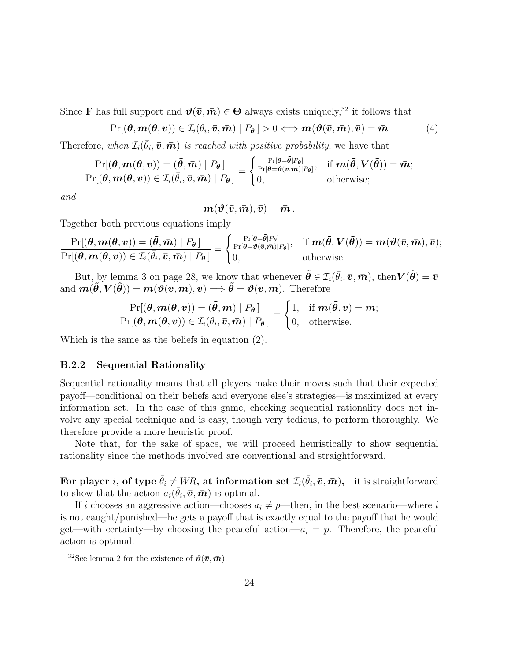Since **F** has full support and  $\theta(\bar{v},\bar{m}) \in \Theta$  always exists uniquely,<sup>32</sup> it follows that

$$
Pr[(\boldsymbol{\theta}, \boldsymbol{m}(\boldsymbol{\theta}, \boldsymbol{v})) \in \mathcal{I}_i(\bar{\theta}_i, \bar{\boldsymbol{v}}, \bar{\boldsymbol{m}}) \mid P_{\boldsymbol{\theta}}] > 0 \Longleftrightarrow \boldsymbol{m}(\boldsymbol{\vartheta}(\bar{\boldsymbol{v}}, \bar{\boldsymbol{m}}), \bar{\boldsymbol{v}}) = \bar{\boldsymbol{m}} \tag{4}
$$

Therefore, when  $\mathcal{I}_i(\bar{\theta}_i, \bar{\boldsymbol{v}}, \bar{\boldsymbol{m}})$  *is reached with positive probability*, we have that

$$
\frac{\Pr[(\boldsymbol{\theta},\boldsymbol{m}(\boldsymbol{\theta},\boldsymbol{v}))=(\boldsymbol{\tilde{\theta}},\boldsymbol{\bar{m}})\mid P_{\boldsymbol{\theta}}]}{\Pr[(\boldsymbol{\theta},\boldsymbol{m}(\boldsymbol{\theta},\boldsymbol{v}))\in\mathcal{I}_i(\bar{\theta}_i,\bar{\boldsymbol{v}},\bar{\boldsymbol{m}})\mid P_{\boldsymbol{\theta}}]}=\begin{cases} \frac{\Pr[\boldsymbol{\theta}=\tilde{\boldsymbol{\theta}}|P_{\boldsymbol{\theta}}]}{\Pr[\boldsymbol{\theta}=\boldsymbol{\theta}(\bar{\boldsymbol{v}},\bar{\boldsymbol{m}})|P_{\boldsymbol{\theta}}]}, & \text{if } \boldsymbol{m}(\boldsymbol{\tilde{\theta}},\boldsymbol{V}(\boldsymbol{\tilde{\theta}}))=\bar{\boldsymbol{m}}; \\ 0, & \text{otherwise}; \end{cases}
$$

*and*

$$
\boldsymbol{m}(\boldsymbol{\vartheta}(\bar{\boldsymbol{v}},\bar{\boldsymbol{m}}),\bar{\boldsymbol{v}})=\bar{\boldsymbol{m}}\,.
$$

Together both previous equations imply

$$
\frac{\Pr[(\boldsymbol{\theta},\boldsymbol{m}(\boldsymbol{\theta},\boldsymbol{v}))=(\boldsymbol{\tilde{\theta}},\boldsymbol{\bar{m}})\mid P_{\boldsymbol{\theta}}]}{\Pr[(\boldsymbol{\theta},\boldsymbol{m}(\boldsymbol{\theta},\boldsymbol{v}))\in\mathcal{I}_i(\bar{\theta}_i,\bar{\boldsymbol{v}},\bar{\boldsymbol{m}})\mid P_{\boldsymbol{\theta}}]}=\begin{cases} \frac{\Pr[\boldsymbol{\theta}=\tilde{\boldsymbol{\theta}}|P_{\boldsymbol{\theta}}]}{\Pr[\boldsymbol{\theta}=\boldsymbol{\theta}(\bar{\boldsymbol{v}},\bar{\boldsymbol{m}})|P_{\boldsymbol{\theta}}]}, & \text{if } \boldsymbol{m}(\boldsymbol{\tilde{\theta}},\boldsymbol{V}(\boldsymbol{\tilde{\theta}}))=\boldsymbol{m}(\boldsymbol{\vartheta}(\bar{\boldsymbol{v}},\bar{\boldsymbol{m}}),\bar{\boldsymbol{v}}); \\ 0, & \text{otherwise.} \end{cases}
$$

But, by lemma 3 on page 28, we know that whenever  $\tilde{\boldsymbol{\theta}} \in \mathcal{I}_i(\bar{\theta}_i, \bar{\boldsymbol{v}}, \bar{\boldsymbol{m}})$ , then  $\boldsymbol{V}(\tilde{\boldsymbol{\theta}}) = \bar{\boldsymbol{v}}$ and  $m(\tilde{\theta}, V(\tilde{\theta})) = m(\theta(\bar{v}, \bar{m}), \bar{v}) \Longrightarrow \tilde{\theta} = \theta(\bar{v}, \bar{m}).$  Therefore

$$
\frac{\Pr[(\boldsymbol{\theta},\boldsymbol{m}(\boldsymbol{\theta},\boldsymbol{v}))=(\boldsymbol{\tilde{\theta}},\boldsymbol{\bar{m}})\mid P_{\boldsymbol{\theta}}]}{\Pr[(\boldsymbol{\theta},\boldsymbol{m}(\boldsymbol{\theta},\boldsymbol{v}))\in\mathcal{I}_i(\bar{\theta}_i,\boldsymbol{\bar{v}},\boldsymbol{\bar{m}})\mid P_{\boldsymbol{\theta}}]}=\begin{cases}1,& \text{if } \boldsymbol{m}(\boldsymbol{\tilde{\theta}},\boldsymbol{\bar{v}})=\boldsymbol{\bar{m}}; \\ 0, & \text{otherwise.}\end{cases}
$$

Which is the same as the beliefs in equation (2).

#### B.2.2 Sequential Rationality

Sequential rationality means that all players make their moves such that their expected payoff—conditional on their beliefs and everyone else's strategies—is maximized at every information set. In the case of this game, checking sequential rationality does not involve any special technique and is easy, though very tedious, to perform thoroughly. We therefore provide a more heuristic proof.

Note that, for the sake of space, we will proceed heuristically to show sequential rationality since the methods involved are conventional and straightforward.

For player *i*, of type  $\bar{\theta}_i \neq WR$ , at information set  $\mathcal{I}_i(\bar{\theta}_i, \bar{\boldsymbol{v}}, \bar{\boldsymbol{m}})$ , it is straightforward to show that the action  $a_i(\bar{\theta}_i, \bar{\boldsymbol{v}}, \bar{\boldsymbol{m}})$  is optimal.

If i chooses an aggressive action—chooses  $a_i \neq p$ —then, in the best scenario—where i is not caught/punished—he gets a payoff that is exactly equal to the payoff that he would get—with certainty—by choosing the peaceful action— $a_i = p$ . Therefore, the peaceful action is optimal.

<sup>&</sup>lt;sup>32</sup>See lemma 2 for the existence of  $\vartheta(\bar{v},\bar{m})$ .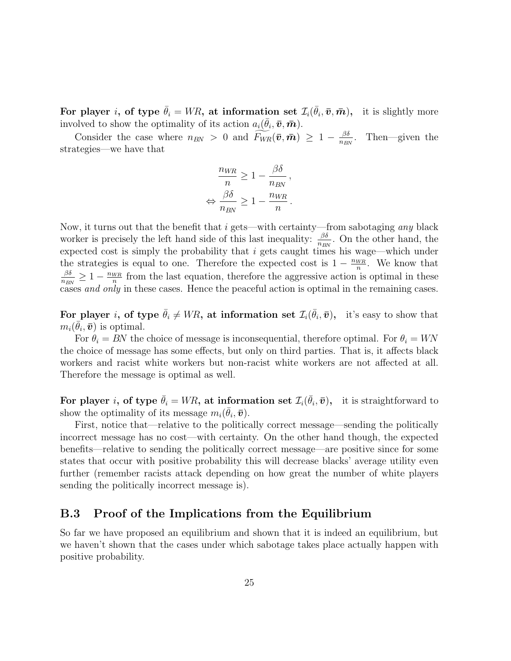For player *i*, of type  $\bar{\theta}_i = WR$ , at information set  $\mathcal{I}_i(\bar{\theta}_i, \bar{\boldsymbol{v}}, \bar{\boldsymbol{m}})$ , it is slightly more involved to show the optimality of its action  $a_i(\bar{\theta}_i, \bar{\boldsymbol{v}}, \bar{\boldsymbol{m}})$ .

Consider the case where  $n_{BN} > 0$  and  $\widetilde{F_{WR}}(\bar{v}, \bar{m}) \geq 1 - \frac{\beta \delta}{n_{BI}}$  $\frac{\beta \theta}{n_{BN}}$ . Then—given the strategies—we have that

$$
\frac{n_{WR}}{n} \ge 1 - \frac{\beta \delta}{n_{BN}},
$$
  

$$
\Leftrightarrow \frac{\beta \delta}{n_{BN}} \ge 1 - \frac{n_{WR}}{n}.
$$

Now, it turns out that the benefit that i gets—with certainty—from sabotaging *any* black worker is precisely the left hand side of this last inequality:  $\frac{\beta \delta}{n_{\text{max}}}$  $\frac{\beta_0}{n_{BN}}$ . On the other hand, the expected cost is simply the probability that  $i$  gets caught times his wage—which under the strategies is equal to one. Therefore the expected cost is  $1 - \frac{n_{WR}}{n}$  $\frac{WR}{n}$ . We know that βδ  $\frac{\beta \delta}{n_{BN}} \geq 1 - \frac{n_{WR}}{n}$  $\frac{WR}{n}$  from the last equation, therefore the aggressive action is optimal in these cases *and only* in these cases. Hence the peaceful action is optimal in the remaining cases.

For player *i*, of type  $\bar{\theta}_i \neq WR$ , at information set  $\mathcal{I}_i(\bar{\theta}_i, \bar{v})$ , it's easy to show that  $m_i(\bar{\theta}_i, \bar{\boldsymbol{v}})$  is optimal.

For  $\theta_i = BN$  the choice of message is inconsequential, therefore optimal. For  $\theta_i = WN$ the choice of message has some effects, but only on third parties. That is, it affects black workers and racist white workers but non-racist white workers are not affected at all. Therefore the message is optimal as well.

For player *i*, of type  $\bar{\theta}_i = WR$ , at information set  $\mathcal{I}_i(\bar{\theta}_i, \bar{\boldsymbol{v}})$ , it is straightforward to show the optimality of its message  $m_i(\bar{\theta}_i, \bar{\boldsymbol{v}})$ .

First, notice that—relative to the politically correct message—sending the politically incorrect message has no cost—with certainty. On the other hand though, the expected benefits—relative to sending the politically correct message—are positive since for some states that occur with positive probability this will decrease blacks' average utility even further (remember racists attack depending on how great the number of white players sending the politically incorrect message is).

### B.3 Proof of the Implications from the Equilibrium

So far we have proposed an equilibrium and shown that it is indeed an equilibrium, but we haven't shown that the cases under which sabotage takes place actually happen with positive probability.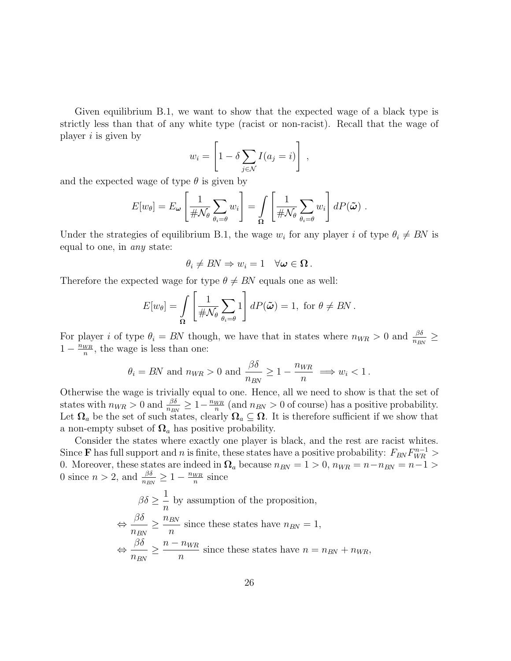Given equilibrium B.1, we want to show that the expected wage of a black type is strictly less than that of any white type (racist or non-racist). Recall that the wage of player  $i$  is given by

$$
w_i = \left[1 - \delta \sum_{j \in \mathcal{N}} I(a_j = i)\right],
$$

and the expected wage of type  $\theta$  is given by

$$
E[w_{\theta}] = E_{\omega} \left[ \frac{1}{\# \mathcal{N}_{\theta}} \sum_{\theta_i = \theta} w_i \right] = \int_{\Omega} \left[ \frac{1}{\# \mathcal{N}_{\theta}} \sum_{\theta_i = \theta} w_i \right] dP(\tilde{\omega}) .
$$

Under the strategies of equilibrium B.1, the wage  $w_i$  for any player i of type  $\theta_i \neq BN$  is equal to one, in *any* state:

$$
\theta_i \neq BN \Rightarrow w_i = 1 \quad \forall \boldsymbol{\omega} \in \Omega \, .
$$

Therefore the expected wage for type  $\theta \neq BN$  equals one as well:

$$
E[w_{\theta}] = \int_{\Omega} \left[ \frac{1}{\# \mathcal{N}_{\theta}} \sum_{\theta_i = \theta} 1 \right] dP(\tilde{\boldsymbol{\omega}}) = 1, \text{ for } \theta \neq BN.
$$

For player *i* of type  $\theta_i = BN$  though, we have that in states where  $n_{WR} > 0$  and  $\frac{\beta \delta}{n_{BN}} \ge$  $1-\frac{n_{WR}}{n}$  $\frac{W_R}{n}$ , the wage is less than one:

$$
\theta_i = BN
$$
 and  $n_{WR} > 0$  and  $\frac{\beta \delta}{n_{BN}} \ge 1 - \frac{n_{WR}}{n} \implies w_i < 1$ .

Otherwise the wage is trivially equal to one. Hence, all we need to show is that the set of states with  $n_{WR} > 0$  and  $\frac{\beta \delta}{n_{BN}} \geq 1 - \frac{n_{WR}}{n}$  $\frac{WIR}{n}$  (and  $n_{BN} > 0$  of course) has a positive probability. Let  $\Omega_a$  be the set of such states, clearly  $\Omega_a \subseteq \Omega$ . It is therefore sufficient if we show that a non-empty subset of  $\Omega_a$  has positive probability.

Consider the states where exactly one player is black, and the rest are racist whites. Since **F** has full support and n is finite, these states have a positive probability:  $F_{BN}F_{WR}^{n-1}$  > 0. Moreover, these states are indeed in  $\Omega_a$  because  $n_{BN} = 1 > 0$ ,  $n_{WR} = n - n_{BN} = n - 1 >$ 0 since  $n > 2$ , and  $\frac{\beta \delta}{n_{BN}} \geq 1 - \frac{n_{WR}}{n}$  $\frac{WR}{n}$  since

$$
\beta \delta \ge \frac{1}{n} \text{ by assumption of the proposition,}
$$
  
\n
$$
\Leftrightarrow \frac{\beta \delta}{n_{BN}} \ge \frac{n_{BN}}{n} \text{ since these states have } n_{BN} = 1,
$$
  
\n
$$
\Leftrightarrow \frac{\beta \delta}{n_{BN}} \ge \frac{n - n_{WR}}{n} \text{ since these states have } n = n_{BN} + n_{WR},
$$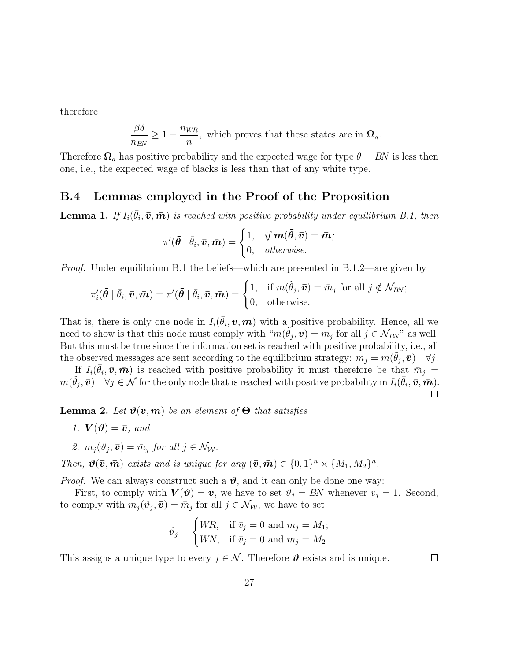therefore

$$
\frac{\beta\delta}{n_{BN}} \ge 1 - \frac{n_{WR}}{n},
$$
 which proves that these states are in  $\Omega_a$ .

Therefore  $\Omega_a$  has positive probability and the expected wage for type  $\theta = BN$  is less then one, i.e., the expected wage of blacks is less than that of any white type.

### B.4 Lemmas employed in the Proof of the Proposition

**Lemma 1.** If  $I_i(\bar{\theta}_i, \bar{\boldsymbol{v}}, \bar{\boldsymbol{m}})$  is reached with positive probability under equilibrium B.1, then

$$
\pi'(\tilde{\boldsymbol{\theta}}\mid \bar{\theta}_i,\bar{\boldsymbol{v}},\bar{\boldsymbol{m}}) = \begin{cases} 1, & \textit{if $\boldsymbol{m}(\tilde{\boldsymbol{\theta}},\bar{\boldsymbol{v}}) = \bar{\boldsymbol{m}}$;} \\ 0, & \textit{otherwise.} \end{cases}
$$

*Proof.* Under equilibrium B.1 the beliefs—which are presented in B.1.2—are given by

$$
\pi'_i(\tilde{\boldsymbol{\theta}} \mid \bar{\theta}_i, \bar{\boldsymbol{v}}, \bar{\boldsymbol{m}}) = \pi'(\tilde{\boldsymbol{\theta}} \mid \bar{\theta}_i, \bar{\boldsymbol{v}}, \bar{\boldsymbol{m}}) = \begin{cases} 1, & \text{if } m(\tilde{\theta}_j, \bar{\boldsymbol{v}}) = \bar{m}_j \text{ for all } j \notin \mathcal{N}_{BN}; \\ 0, & \text{otherwise.} \end{cases}
$$

That is, there is only one node in  $I_i(\bar{\theta}_i, \bar{\boldsymbol{v}}, \bar{\boldsymbol{m}})$  with a positive probability. Hence, all we need to show is that this node must comply with " $m(\tilde{\theta}_j, \bar{\boldsymbol{v}}) = \bar{m}_j$  for all  $j \in \mathcal{N}_{BN}$ " as well. But this must be true since the information set is reached with positive probability, i.e., all the observed messages are sent according to the equilibrium strategy:  $m_j = m(\tilde{\theta}_j, \bar{\boldsymbol{v}})$   $\forall j$ .

If  $I_i(\bar{\theta}_i, \bar{\boldsymbol{v}}, \bar{\boldsymbol{m}})$  is reached with positive probability it must therefore be that  $\bar{m}_j =$  $m(\tilde{\theta}_j, \bar{\boldsymbol{v}})$   $\forall j \in \mathcal{N}$  for the only node that is reached with positive probability in  $I_i(\bar{\theta}_i, \bar{\boldsymbol{v}}, \bar{\boldsymbol{m}})$ .  $\Box$ 

**Lemma 2.** Let  $\vartheta(\bar{v}, \bar{m})$  be an element of  $\Theta$  that satisfies

1. 
$$
V(\theta) = \bar{v}
$$
, and

2. 
$$
m_j(\vartheta_j, \bar{\boldsymbol{v}}) = \bar{m}_j \text{ for all } j \in \mathcal{N}_{\mathcal{W}}.
$$

*Then,*  $\mathbf{\hat{\theta}}(\bar{\mathbf{v}}, \bar{\mathbf{m}})$  *exists and is unique for any*  $(\bar{\mathbf{v}}, \bar{\mathbf{m}}) \in \{0, 1\}^n \times \{M_1, M_2\}^n$ .

*Proof.* We can always construct such a  $\vartheta$ , and it can only be done one way:

First, to comply with  $\mathbf{V}(\boldsymbol{\vartheta}) = \bar{\boldsymbol{v}}$ , we have to set  $\vartheta_j = BN$  whenever  $\bar{v}_j = 1$ . Second, to comply with  $m_j(\vartheta_j, \bar{\boldsymbol{v}}) = \bar{m}_j$  for all  $j \in \mathcal{N}_{\mathcal{W}}$ , we have to set

$$
\vartheta_j = \begin{cases} WR, & \text{if } \bar{v}_j = 0 \text{ and } m_j = M_1; \\ WN, & \text{if } \bar{v}_j = 0 \text{ and } m_j = M_2. \end{cases}
$$

This assigns a unique type to every  $j \in \mathcal{N}$ . Therefore  $\boldsymbol{\vartheta}$  exists and is unique.

 $\Box$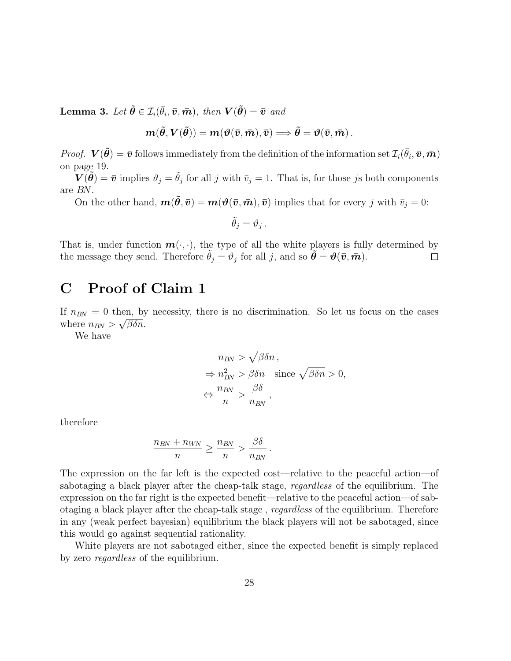Lemma 3. Let  $\tilde{\boldsymbol{\theta}} \in \mathcal{I}_i(\bar{\theta}_i, \bar{\boldsymbol{v}}, \bar{\boldsymbol{m}})$ *, then*  $\boldsymbol{V}(\tilde{\boldsymbol{\theta}}) = \bar{\boldsymbol{v}}$  and

$$
\boldsymbol{m}(\tilde{\boldsymbol{\theta}},\boldsymbol{V}(\tilde{\boldsymbol{\theta}}))=\boldsymbol{m}(\boldsymbol{\vartheta}(\bar{\boldsymbol{v}},\bar{\boldsymbol{m}}),\bar{\boldsymbol{v}})\Longrightarrow\tilde{\boldsymbol{\theta}}=\boldsymbol{\vartheta}(\bar{\boldsymbol{v}},\bar{\boldsymbol{m}})\,.
$$

*Proof.*  $\mathbf{V}(\tilde{\boldsymbol{\theta}}) = \bar{\boldsymbol{v}}$  follows immediately from the definition of the information set  $\mathcal{I}_i(\bar{\theta}_i, \bar{\boldsymbol{v}}, \bar{\boldsymbol{m}})$ on page 19.

 $\widetilde{V}(\widetilde{\theta}) = \bar{v}$  implies  $\vartheta_j = \tilde{\theta}_j$  for all j with  $\bar{v}_j = 1$ . That is, for those js both components are BN.

On the other hand,  $m(\tilde{\theta}, \bar{v}) = m(\theta(\bar{v}, \bar{m}), \bar{v})$  implies that for every j with  $\bar{v}_j = 0$ :

$$
\tilde{\theta}_j = \vartheta_j \,.
$$

That is, under function  $\mathbf{m}(\cdot, \cdot)$ , the type of all the white players is fully determined by the message they send. Therefore  $\tilde{\theta}_i = \vartheta_i$  for all *i*, and so  $\tilde{\theta} = \vartheta(\bar{v}, \bar{m})$ . the message they send. Therefore  $\tilde{\theta}_j = \vartheta_j$  for all j, and so  $\tilde{\boldsymbol{\theta}} = \boldsymbol{\vartheta}(\bar{\boldsymbol{v}}, \bar{\boldsymbol{m}})$ .

# C Proof of Claim 1

If  $n_{BN} = 0$  then, by necessity, there is no discrimination. So let us focus on the cases where  $n_{BN} > \sqrt{\beta \delta n}$ .

We have

$$
n_{BN} > \sqrt{\beta \delta n},
$$
  
\n
$$
\Rightarrow n_{BN}^2 > \beta \delta n \quad \text{since } \sqrt{\beta \delta n} > 0,
$$
  
\n
$$
\Leftrightarrow \frac{n_{BN}}{n} > \frac{\beta \delta}{n_{BN}},
$$

therefore

$$
\frac{n_{BN} + n_{WN}}{n} \ge \frac{n_{BN}}{n} > \frac{\beta \delta}{n_{BN}}.
$$

The expression on the far left is the expected cost—relative to the peaceful action—of sabotaging a black player after the cheap-talk stage, *regardless* of the equilibrium. The expression on the far right is the expected benefit—relative to the peaceful action—of sabotaging a black player after the cheap-talk stage , *regardless* of the equilibrium. Therefore in any (weak perfect bayesian) equilibrium the black players will not be sabotaged, since this would go against sequential rationality.

White players are not sabotaged either, since the expected benefit is simply replaced by zero *regardless* of the equilibrium.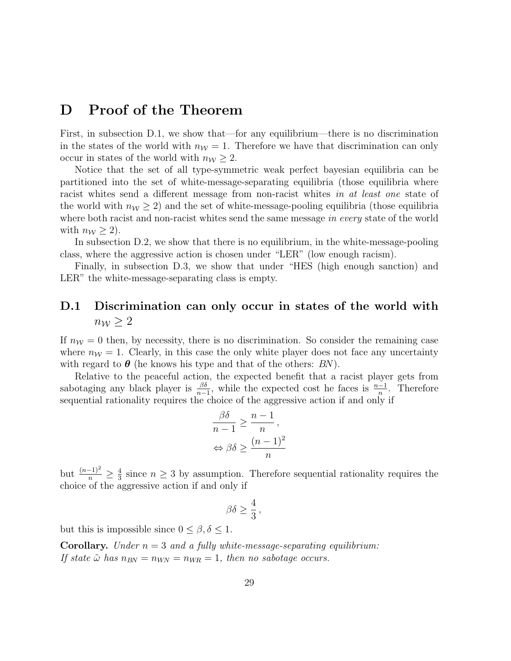### D Proof of the Theorem

First, in subsection D.1, we show that—for any equilibrium—there is no discrimination in the states of the world with  $n_W = 1$ . Therefore we have that discrimination can only occur in states of the world with  $n_W \geq 2$ .

Notice that the set of all type-symmetric weak perfect bayesian equilibria can be partitioned into the set of white-message-separating equilibria (those equilibria where racist whites send a different message from non-racist whites *in at least one* state of the world with  $n_W \geq 2$ ) and the set of white-message-pooling equilibria (those equilibria where both racist and non-racist whites send the same message *in every* state of the world with  $n_W \geq 2$ .

In subsection D.2, we show that there is no equilibrium, in the white-message-pooling class, where the aggressive action is chosen under "LER" (low enough racism).

Finally, in subsection D.3, we show that under "HES (high enough sanction) and LER" the white-message-separating class is empty.

### D.1 Discrimination can only occur in states of the world with  $n_{\mathcal{W}} \geq 2$

If  $n_W = 0$  then, by necessity, there is no discrimination. So consider the remaining case where  $n<sub>W</sub> = 1$ . Clearly, in this case the only white player does not face any uncertainty with regard to  $\theta$  (he knows his type and that of the others: BN).

Relative to the peaceful action, the expected benefit that a racist player gets from sabotaging any black player is  $\frac{\beta \delta}{n-1}$ , while the expected cost he faces is  $\frac{n-1}{n}$ . Therefore sequential rationality requires the choice of the aggressive action if and only if

$$
\frac{\beta \delta}{n-1} \ge \frac{n-1}{n},
$$
  

$$
\Leftrightarrow \beta \delta \ge \frac{(n-1)^2}{n}
$$

but  $\frac{(n-1)^2}{n} \geq \frac{4}{3}$  $\frac{4}{3}$  since  $n \geq 3$  by assumption. Therefore sequential rationality requires the choice of the aggressive action if and only if

$$
\beta \delta \ge \frac{4}{3},
$$

but this is impossible since  $0 \leq \beta, \delta \leq 1$ .

**Corollary.** *Under*  $n = 3$  *and a fully white-message-separating equilibrium: If state*  $\tilde{\omega}$  *has*  $n_{BN} = n_{WN} = n_{WR} = 1$ *, then no sabotage occurs.*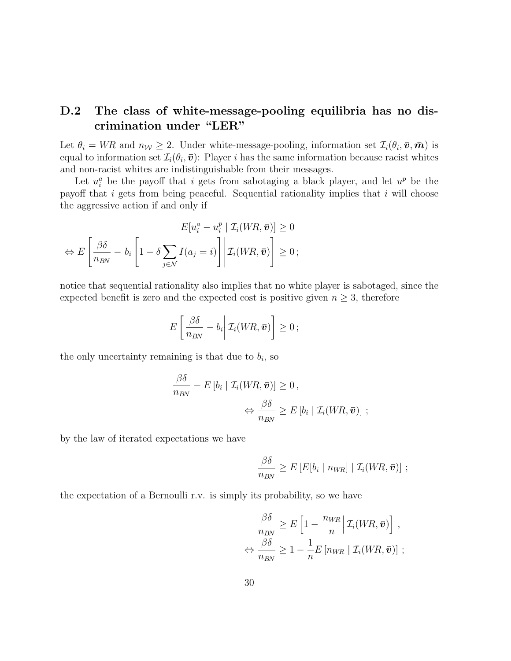### D.2 The class of white-message-pooling equilibria has no discrimination under "LER"

Let  $\theta_i = WR$  and  $n_W \geq 2$ . Under white-message-pooling, information set  $\mathcal{I}_i(\theta_i, \bar{v}, \bar{m})$  is equal to information set  $\mathcal{I}_i(\theta_i, \bar{\boldsymbol{v}})$ : Player *i* has the same information because racist whites and non-racist whites are indistinguishable from their messages.

Let  $u_i^a$  be the payoff that i gets from sabotaging a black player, and let  $u^p$  be the payoff that i gets from being peaceful. Sequential rationality implies that i will choose the aggressive action if and only if

$$
E[u_i^a - u_i^p \mid \mathcal{I}_i(WR, \bar{\boldsymbol{v}})] \ge 0
$$
  
\n
$$
\Leftrightarrow E\left[\frac{\beta\delta}{n_{BN}} - b_i \left[1 - \delta \sum_{j \in \mathcal{N}} I(a_j = i)\right] \middle| \mathcal{I}_i(WR, \bar{\boldsymbol{v}})\right] \ge 0;
$$

notice that sequential rationality also implies that no white player is sabotaged, since the expected benefit is zero and the expected cost is positive given  $n \geq 3$ , therefore

$$
E\left[\left.\frac{\beta\delta}{n_{BN}}-b_i\right|\mathcal{I}_i(WR,\bar{\boldsymbol{v}})\right]\geq 0\,;
$$

the only uncertainty remaining is that due to  $b_i$ , so

$$
\frac{\beta \delta}{n_{BN}} - E\left[b_i \mid \mathcal{I}_i(WR, \bar{\boldsymbol{v}})\right] \ge 0, \n\Leftrightarrow \frac{\beta \delta}{n_{BN}} \ge E\left[b_i \mid \mathcal{I}_i(WR, \bar{\boldsymbol{v}})\right];
$$

by the law of iterated expectations we have

$$
\frac{\beta\delta}{n_{BN}} \geq E\left[E[b_i \mid n_{WR}\right] | \mathcal{I}_i(WR, \bar{\boldsymbol{v}})\right];
$$

the expectation of a Bernoulli r.v. is simply its probability, so we have

$$
\frac{\beta \delta}{n_{BN}} \geq E \left[ 1 - \frac{n_{WR}}{n} \middle| \mathcal{I}_i(WR, \bar{v}) \right],
$$
  

$$
\Leftrightarrow \frac{\beta \delta}{n_{BN}} \geq 1 - \frac{1}{n} E \left[ n_{WR} \middle| \mathcal{I}_i(WR, \bar{v}) \right];
$$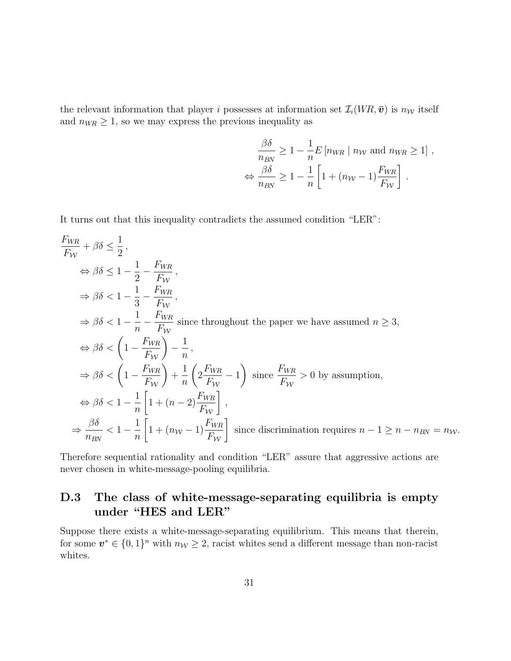the relevant information that player i possesses at information set  $\mathcal{I}_i(W_R, \bar{v})$  is  $n_W$  itself and  $n_{WR} \geq 1$ , so we may express the previous inequality as

$$
\frac{\beta \delta}{n_{BN}} \ge 1 - \frac{1}{n} E \left[ n_{WR} \mid n_W \text{ and } n_{WR} \ge 1 \right],
$$
  

$$
\Leftrightarrow \frac{\beta \delta}{n_{BN}} \ge 1 - \frac{1}{n} \left[ 1 + (n_W - 1) \frac{F_{WR}}{F_W} \right].
$$

It turns out that this inequality contradicts the assumed condition "LER":

$$
\frac{F_{WR}}{F_W} + \beta \delta \le \frac{1}{2},
$$
\n
$$
\Rightarrow \beta \delta \le 1 - \frac{1}{2} - \frac{F_{WR}}{F_W},
$$
\n
$$
\Rightarrow \beta \delta < 1 - \frac{1}{3} - \frac{F_{WR}}{F_W},
$$
\n
$$
\Rightarrow \beta \delta < 1 - \frac{1}{n} - \frac{F_{WR}}{F_W} \text{ since throughout the paper we have assumed } n \ge 3,
$$
\n
$$
\Rightarrow \beta \delta < \left(1 - \frac{F_{WR}}{F_W}\right) - \frac{1}{n},
$$
\n
$$
\Rightarrow \beta \delta < \left(1 - \frac{F_{WR}}{F_W}\right) + \frac{1}{n} \left(2 \frac{F_{WR}}{F_W} - 1\right) \text{ since } \frac{F_{WR}}{F_W} > 0 \text{ by assumption,}
$$
\n
$$
\Rightarrow \beta \delta < 1 - \frac{1}{n} \left[1 + (n - 2) \frac{F_{WR}}{F_W}\right],
$$
\n
$$
\Rightarrow \frac{\beta \delta}{n_{BN}} < 1 - \frac{1}{n} \left[1 + (n_{W} - 1) \frac{F_{WR}}{F_W}\right] \text{ since discrimination requires } n - 1 \ge n - n_{BN} = n_{W}.
$$

Therefore sequential rationality and condition "LER" assure that aggressive actions are never chosen in white-message-pooling equilibria.

### D.3 The class of white-message-separating equilibria is empty under "HES and LER"

Suppose there exists a white-message-separating equilibrium. This means that therein, for some  $v^* \in \{0,1\}^n$  with  $n_{\mathcal{W}} \geq 2$ , racist whites send a different message than non-racist whites.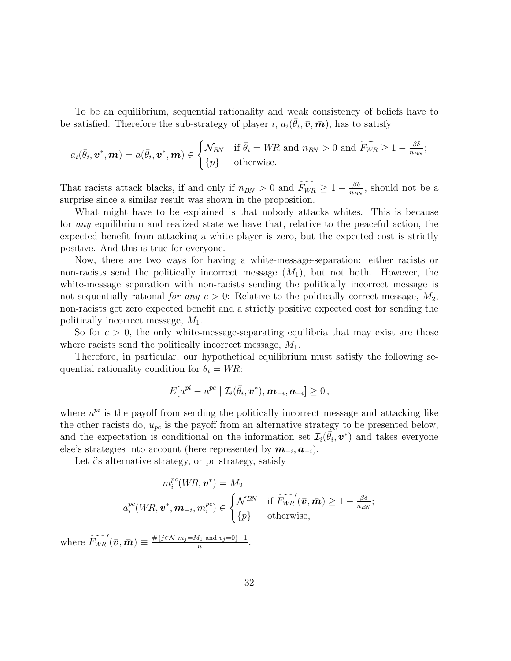To be an equilibrium, sequential rationality and weak consistency of beliefs have to be satisfied. Therefore the sub-strategy of player i,  $a_i(\bar{\theta}_i, \bar{\boldsymbol{v}}, \bar{\boldsymbol{m}})$ , has to satisfy

$$
a_i(\bar{\theta}_i, \boldsymbol{v}^*, \bar{\boldsymbol{m}}) = a(\bar{\theta}_i, \boldsymbol{v}^*, \bar{\boldsymbol{m}}) \in \begin{cases} \mathcal{N}_{BN} & \text{if } \bar{\theta}_i = WR \text{ and } n_{BN} > 0 \text{ and } \widetilde{F_{WR}} \geq 1 - \frac{\beta \delta}{n_{BN}}; \\ \{p\} & \text{otherwise.} \end{cases}
$$

That racists attack blacks, if and only if  $n_{BN} > 0$  and  $\widetilde{F_{WR}} \geq 1 - \frac{\beta \delta}{n_{BI}}$  $\frac{\beta \delta}{n_{BN}}$ , should not be a surprise since a similar result was shown in the proposition.

What might have to be explained is that nobody attacks whites. This is because for *any* equilibrium and realized state we have that, relative to the peaceful action, the expected benefit from attacking a white player is zero, but the expected cost is strictly positive. And this is true for everyone.

Now, there are two ways for having a white-message-separation: either racists or non-racists send the politically incorrect message  $(M_1)$ , but not both. However, the white-message separation with non-racists sending the politically incorrect message is not sequentially rational *for any*  $c > 0$ : Relative to the politically correct message,  $M_2$ , non-racists get zero expected benefit and a strictly positive expected cost for sending the politically incorrect message,  $M_1$ .

So for  $c > 0$ , the only white-message-separating equilibria that may exist are those where racists send the politically incorrect message,  $M_1$ .

Therefore, in particular, our hypothetical equilibrium must satisfy the following sequential rationality condition for  $\theta_i = WR$ :

$$
E[u^{pi}-u^{pc} | \mathcal{I}_i(\bar{\theta}_i, \boldsymbol{v}^*), \boldsymbol{m}_{-i}, \boldsymbol{a}_{-i}] \geq 0,
$$

where  $u^{pi}$  is the payoff from sending the politically incorrect message and attacking like the other racists do,  $u_{pc}$  is the payoff from an alternative strategy to be presented below, and the expectation is conditional on the information set  $\mathcal{I}_i(\vec{\theta}_i, v^*)$  and takes everyone else's strategies into account (here represented by  $m_{-i}, a_{-i}$ ).

Let  $i$ 's alternative strategy, or pc strategy, satisfy

$$
m_i^{pc}(WR, \mathbf{v}^*) = M_2
$$
  

$$
a_i^{pc}(WR, \mathbf{v}^*, \mathbf{m}_{-i}, m_i^{pc}) \in \begin{cases} \mathcal{N}^{BN} & \text{if } \widetilde{F_{WR}}'(\bar{\mathbf{v}}, \bar{\mathbf{m}}) \ge 1 - \frac{\beta \delta}{n_{BN}}; \\ \{p\} & \text{otherwise}, \end{cases}
$$

where  $\widetilde{F_{WR}}'(\bar{v}, \bar{m}) \equiv \frac{\#\{j \in \mathcal{N} | \bar{m}_j = M_1 \text{ and } \bar{v}_j = 0\} + 1}{n}$  $\frac{n_1 \text{ and } v_j = 0 + 1}{n}$ .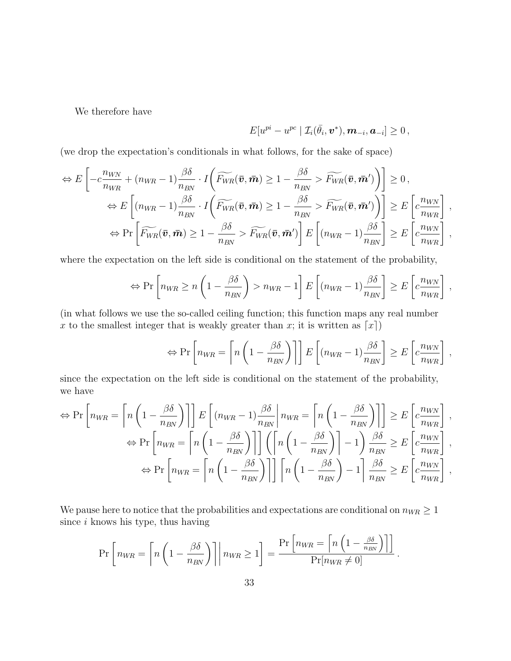We therefore have

$$
E[u^{pi}-u^{pc} | \mathcal{I}_i(\bar{\theta}_i, \boldsymbol{v}^*), \boldsymbol{m}_{-i}, \boldsymbol{a}_{-i}] \geq 0,
$$

(we drop the expectation's conditionals in what follows, for the sake of space)

$$
\Leftrightarrow E\left[-c\frac{n_{WN}}{n_{WR}} + (n_{WR} - 1)\frac{\beta\delta}{n_{BN}} \cdot I\left(\widetilde{F_{WR}}(\bar{v}, \bar{m}) \ge 1 - \frac{\beta\delta}{n_{BN}} > \widetilde{F_{WR}}(\bar{v}, \bar{m}')\right)\right] \ge 0,
$$
  

$$
\Leftrightarrow E\left[(n_{WR} - 1)\frac{\beta\delta}{n_{BN}} \cdot I\left(\widetilde{F_{WR}}(\bar{v}, \bar{m}) \ge 1 - \frac{\beta\delta}{n_{BN}} > \widetilde{F_{WR}}(\bar{v}, \bar{m}')\right)\right] \ge E\left[c\frac{n_{WN}}{n_{WR}}\right],
$$
  

$$
\Leftrightarrow \Pr\left[\widetilde{F_{WR}}(\bar{v}, \bar{m}) \ge 1 - \frac{\beta\delta}{n_{BN}} > \widetilde{F_{WR}}(\bar{v}, \bar{m}')\right] E\left[(n_{WR} - 1)\frac{\beta\delta}{n_{BN}}\right] \ge E\left[c\frac{n_{WN}}{n_{WR}}\right],
$$

where the expectation on the left side is conditional on the statement of the probability,

$$
\Leftrightarrow \Pr\left[n_{WR} \ge n\left(1 - \frac{\beta\delta}{n_{BN}}\right) > n_{WR} - 1\right] E\left[(n_{WR} - 1)\frac{\beta\delta}{n_{BN}}\right] \ge E\left[c\frac{n_{WN}}{n_{WR}}\right],
$$

(in what follows we use the so-called ceiling function; this function maps any real number x to the smallest integer that is weakly greater than x; it is written as  $[x]$ )

$$
\Leftrightarrow \Pr\left[n_{WR} = \left\lceil n\left(1 - \frac{\beta\delta}{n_{BN}}\right)\right\rceil\right] E\left[(n_{WR} - 1)\frac{\beta\delta}{n_{BN}}\right] \ge E\left[c\frac{n_{WN}}{n_{WR}}\right],
$$

since the expectation on the left side is conditional on the statement of the probability, we have

$$
\Leftrightarrow \Pr\left[n_{WR} = \left\lceil n\left(1 - \frac{\beta\delta}{n_{BN}}\right)\right\rceil\right] E\left[(n_{WR} - 1)\frac{\beta\delta}{n_{BN}}\middle| n_{WR} = \left\lceil n\left(1 - \frac{\beta\delta}{n_{BN}}\right)\right\rceil\right] \ge E\left[c\frac{n_{WN}}{n_{WR}}\right],
$$
  
\n
$$
\Leftrightarrow \Pr\left[n_{WR} = \left\lceil n\left(1 - \frac{\beta\delta}{n_{BN}}\right)\right\rceil\right] \left(\left\lceil n\left(1 - \frac{\beta\delta}{n_{BN}}\right)\right\rceil - 1\right) \frac{\beta\delta}{n_{BN}} \ge E\left[c\frac{n_{WN}}{n_{WR}}\right],
$$
  
\n
$$
\Leftrightarrow \Pr\left[n_{WR} = \left\lceil n\left(1 - \frac{\beta\delta}{n_{BN}}\right)\right\rceil\right] \left\lceil n\left(1 - \frac{\beta\delta}{n_{BN}}\right) - 1\right\rceil \frac{\beta\delta}{n_{BN}} \ge E\left[c\frac{n_{WN}}{n_{WR}}\right],
$$

We pause here to notice that the probabilities and expectations are conditional on  $n_{WR} \geq 1$ since  $i$  knows his type, thus having

$$
\Pr\left[n_{WR} = \left\lceil n\left(1 - \frac{\beta\delta}{n_{BN}}\right)\right\rceil \middle| n_{WR} \ge 1\right] = \frac{\Pr\left[n_{WR} = \left\lceil n\left(1 - \frac{\beta\delta}{n_{BN}}\right)\right\rceil\right]}{\Pr[n_{WR} \ne 0]}.
$$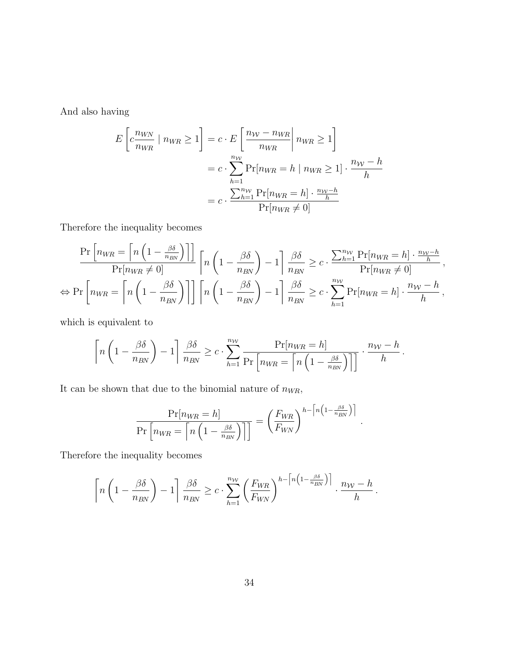And also having

$$
E\left[c\frac{n_{WN}}{n_{WR}} \mid n_{WR} \ge 1\right] = c \cdot E\left[\frac{n_W - n_{WR}}{n_{WR}} \mid n_{WR} \ge 1\right]
$$

$$
= c \cdot \sum_{h=1}^{n_{\mathcal{W}}} \Pr[n_{WR} = h \mid n_{WR} \ge 1] \cdot \frac{n_{\mathcal{W}} - h}{h}
$$

$$
= c \cdot \frac{\sum_{h=1}^{n_{\mathcal{W}}} \Pr[n_{WR} = h] \cdot \frac{n_{\mathcal{W}} - h}{h}}{\Pr[n_{WR} \ne 0]}
$$

Therefore the inequality becomes

$$
\frac{\Pr\left[n_{WR} = \left\lceil n\left(1 - \frac{\beta\delta}{n_{BN}}\right)\right\rceil\right]}{\Pr[n_{WR} \neq 0]}\left[n\left(1 - \frac{\beta\delta}{n_{BN}}\right) - 1\right]\frac{\beta\delta}{n_{BN}} \ge c \cdot \frac{\sum_{h=1}^{n_{\mathcal{W}}}\Pr[n_{WR} = h] \cdot \frac{n_{\mathcal{W}} - h}{h}}{\Pr[n_{WR} \neq 0]},
$$
  
\n
$$
\Leftrightarrow \Pr\left[n_{WR} = \left\lceil n\left(1 - \frac{\beta\delta}{n_{BN}}\right)\right\rceil\right]\left[n\left(1 - \frac{\beta\delta}{n_{BN}}\right) - 1\right]\frac{\beta\delta}{n_{BN}} \ge c \cdot \sum_{h=1}^{n_{\mathcal{W}}}\Pr[n_{WR} = h] \cdot \frac{n_{\mathcal{W}} - h}{h},
$$

which is equivalent to

$$
\left\lceil n\left(1-\frac{\beta\delta}{n_{BN}}\right)-1\right\rceil\frac{\beta\delta}{n_{BN}}\geq c\cdot\sum_{h=1}^{n_{\mathcal{W}}}\frac{\Pr[n_{\mathcal{W}R}=h]}{\Pr\left[n_{\mathcal{W}R}=\left\lceil n\left(1-\frac{\beta\delta}{n_{\mathcal{B}N}}\right)\right\rceil\right]}\cdot\frac{n_{\mathcal{W}}-h}{h}.
$$

It can be shown that due to the binomial nature of  $n_{WR}$ ,

$$
\frac{\Pr[n_{WR} = h]}{\Pr[n_{WR} = \left[n\left(1 - \frac{\beta \delta}{n_{BN}}\right)\right]} = \left(\frac{F_{WR}}{F_{WN}}\right)^{h - \left[n\left(1 - \frac{\beta \delta}{n_{BN}}\right)\right]}.
$$

Therefore the inequality becomes

$$
\left\lceil n\left(1-\frac{\beta\delta}{n_{BN}}\right)-1\right\rceil\frac{\beta\delta}{n_{BN}}\geq c\cdot\sum_{h=1}^{n_{\mathcal{W}}}\left(\frac{F_{WR}}{F_{WN}}\right)^{h-\left\lceil n\left(1-\frac{\beta\delta}{n_{BN}}\right)\right\rceil}\cdot\frac{n_{\mathcal{W}}-h}{h}.
$$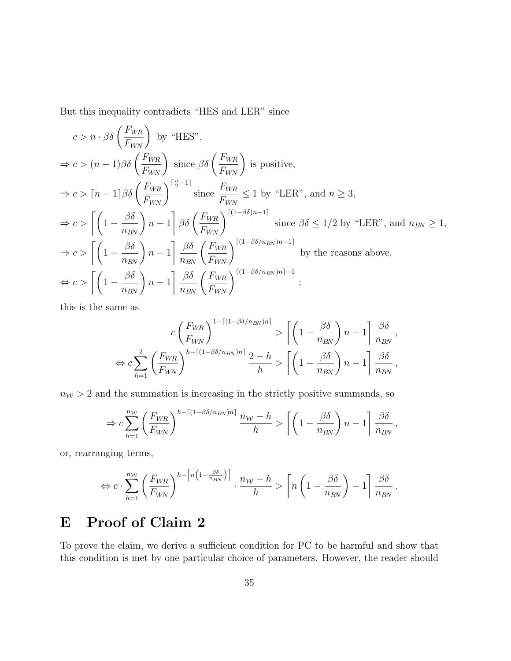But this inequality contradicts "HES and LER" since

$$
c > n \cdot \beta \delta \left( \frac{F_{WR}}{F_{WN}} \right) \text{ by "HES",}
$$
\n
$$
\Rightarrow c > (n-1)\beta \delta \left( \frac{F_{WR}}{F_{WN}} \right) \text{ since } \beta \delta \left( \frac{F_{WR}}{F_{WN}} \right) \text{ is positive,}
$$
\n
$$
\Rightarrow c > \lceil n - 1 \rceil \beta \delta \left( \frac{F_{WR}}{F_{WN}} \right)^{\lceil \frac{n}{2} - 1 \rceil} \text{ since } \frac{F_{WR}}{F_{WN}} \le 1 \text{ by "LER", and } n \ge 3,
$$
\n
$$
\Rightarrow c > \left[ \left( 1 - \frac{\beta \delta}{n_{BN}} \right) n - 1 \right] \beta \delta \left( \frac{F_{WR}}{F_{WN}} \right)^{\lceil (1 - \beta \delta)n - 1 \rceil} \text{ since } \beta \delta \le 1/2 \text{ by "LER", and } n_{BN} \ge 1,
$$
\n
$$
\Rightarrow c > \left[ \left( 1 - \frac{\beta \delta}{n_{BN}} \right) n - 1 \right] \frac{\beta \delta}{n_{BN}} \left( \frac{F_{WR}}{F_{WN}} \right)^{\lceil (1 - \beta \delta/n_{BN})n - 1 \rceil} \text{ by the reasons above,}
$$
\n
$$
\Leftrightarrow c > \left[ \left( 1 - \frac{\beta \delta}{n_{BN}} \right) n - 1 \right] \frac{\beta \delta}{n_{BN}} \left( \frac{F_{WR}}{F_{WN}} \right)^{\lceil (1 - \beta \delta/n_{BN})n \rceil - 1};
$$

this is the same as

$$
c\left(\frac{F_{WR}}{F_{WN}}\right)^{1-\lceil(1-\beta\delta/n_{BN})n\rceil} > \left\lceil \left(1 - \frac{\beta\delta}{n_{BN}}\right)n - 1\right\rceil \frac{\beta\delta}{n_{BN}},
$$
  

$$
\Leftrightarrow c\sum_{h=1}^{2} \left(\frac{F_{WR}}{F_{WN}}\right)^{h-\lceil(1-\beta\delta/n_{BN})n\rceil} \frac{2-h}{h} > \left\lceil \left(1 - \frac{\beta\delta}{n_{BN}}\right)n - 1\right\rceil \frac{\beta\delta}{n_{BN}},
$$

 $n_W > 2$  and the summation is increasing in the strictly positive summands, so

$$
\Rightarrow c \sum_{h=1}^{n_{\mathcal{W}}} \left(\frac{F_{WR}}{F_{WN}}\right)^{h-\lceil(1-\beta\delta/n_{BN})n\rceil} \frac{n_{\mathcal{W}}-h}{h} > \left\lceil \left(1-\frac{\beta\delta}{n_{BN}}\right)n-1\right\rceil \frac{\beta\delta}{n_{BN}},
$$

or, rearranging terms,

$$
\Leftrightarrow c \cdot \sum_{h=1}^{n_{\mathcal{W}}} \left(\frac{F_{WR}}{F_{WN}}\right)^{h-\left[n\left(1-\frac{\beta\delta}{n_{BN}}\right)\right]} \cdot \frac{n_{\mathcal{W}}-h}{h} > \left[n\left(1-\frac{\beta\delta}{n_{BN}}\right)-1\right]\frac{\beta\delta}{n_{BN}}.
$$

# E Proof of Claim 2

To prove the claim, we derive a sufficient condition for PC to be harmful and show that this condition is met by one particular choice of parameters. However, the reader should